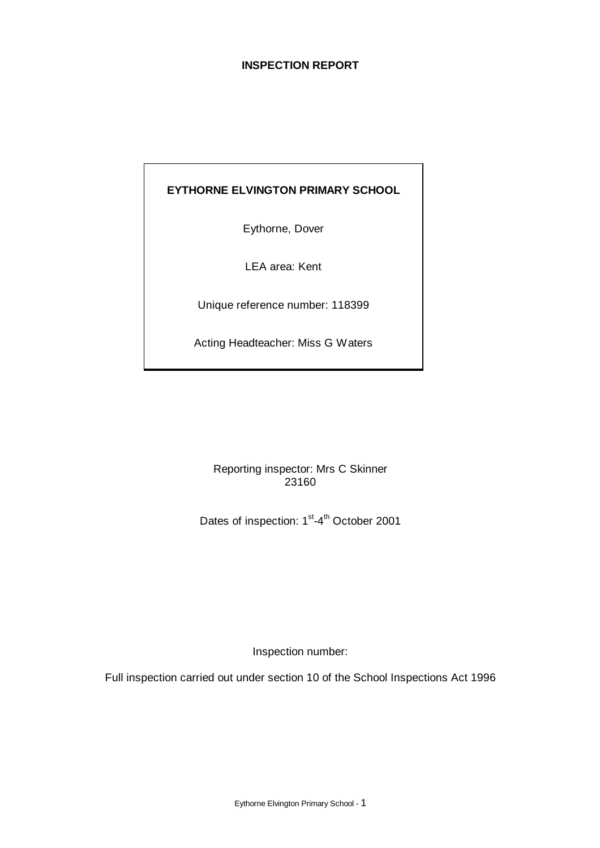# **INSPECTION REPORT**

# **EYTHORNE ELVINGTON PRIMARY SCHOOL**

Eythorne, Dover

LEA area: Kent

Unique reference number: 118399

Acting Headteacher: Miss G Waters

Reporting inspector: Mrs C Skinner 23160

Dates of inspection: 1<sup>st</sup>-4<sup>th</sup> October 2001

Inspection number:

Full inspection carried out under section 10 of the School Inspections Act 1996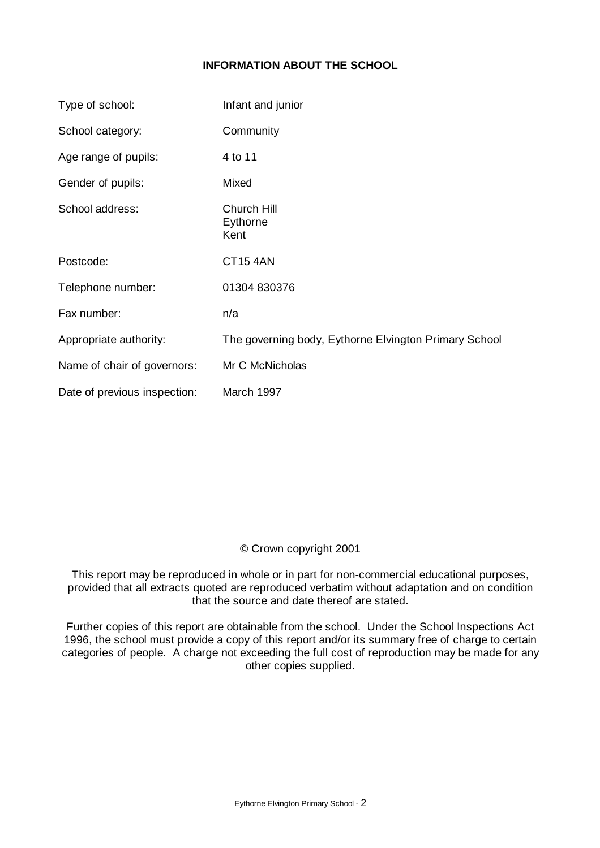# **INFORMATION ABOUT THE SCHOOL**

| Type of school:              | Infant and junior                                     |
|------------------------------|-------------------------------------------------------|
| School category:             | Community                                             |
| Age range of pupils:         | 4 to 11                                               |
| Gender of pupils:            | Mixed                                                 |
| School address:              | Church Hill<br>Eythorne<br>Kent                       |
| Postcode:                    | <b>CT15 4AN</b>                                       |
| Telephone number:            | 01304 830376                                          |
| Fax number:                  | n/a                                                   |
| Appropriate authority:       | The governing body, Eythorne Elvington Primary School |
| Name of chair of governors:  | Mr C McNicholas                                       |
| Date of previous inspection: | March 1997                                            |

# © Crown copyright 2001

This report may be reproduced in whole or in part for non-commercial educational purposes, provided that all extracts quoted are reproduced verbatim without adaptation and on condition that the source and date thereof are stated.

Further copies of this report are obtainable from the school. Under the School Inspections Act 1996, the school must provide a copy of this report and/or its summary free of charge to certain categories of people. A charge not exceeding the full cost of reproduction may be made for any other copies supplied.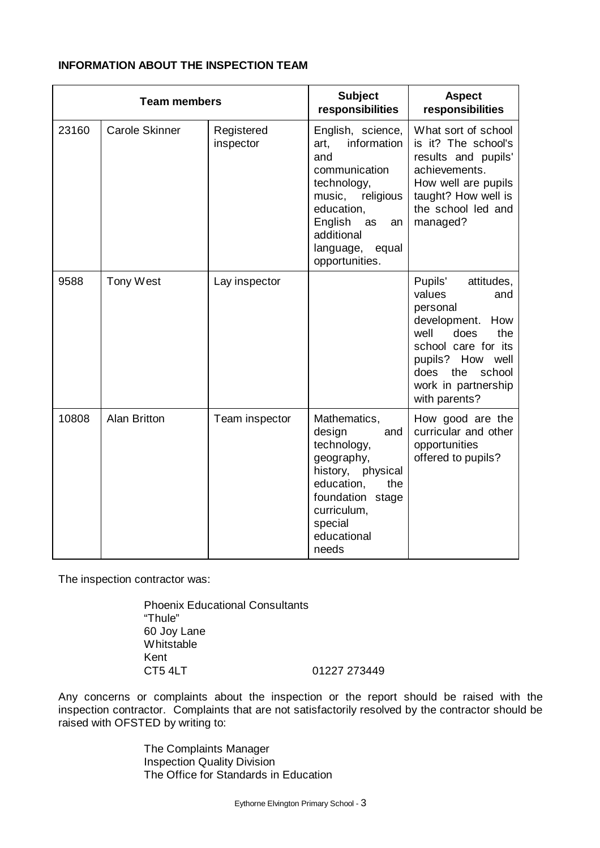| <b>Team members</b> |                       |                         | <b>Subject</b><br>responsibilities                                                                                                                                                                | <b>Aspect</b><br>responsibilities                                                                                                                                                                            |
|---------------------|-----------------------|-------------------------|---------------------------------------------------------------------------------------------------------------------------------------------------------------------------------------------------|--------------------------------------------------------------------------------------------------------------------------------------------------------------------------------------------------------------|
| 23160               | <b>Carole Skinner</b> | Registered<br>inspector | English, science,<br>information<br>art,<br>and<br>communication<br>technology,<br>religious<br>music,<br>education,<br>English<br>as<br>an<br>additional<br>language,<br>equal<br>opportunities. | What sort of school<br>is it? The school's<br>results and pupils'<br>achievements.<br>How well are pupils<br>taught? How well is<br>the school led and<br>managed?                                           |
| 9588                | Tony West             | Lay inspector           |                                                                                                                                                                                                   | Pupils'<br>attitudes,<br>values<br>and<br>personal<br>development.<br>How<br>well<br>does<br>the<br>school care for its<br>pupils? How well<br>the<br>does<br>school<br>work in partnership<br>with parents? |
| 10808               | <b>Alan Britton</b>   | Team inspector          | Mathematics,<br>design<br>and<br>technology,<br>geography,<br>history, physical<br>education,<br>the<br>foundation stage<br>curriculum,<br>special<br>educational<br>needs                        | How good are the<br>curricular and other<br>opportunities<br>offered to pupils?                                                                                                                              |

# **INFORMATION ABOUT THE INSPECTION TEAM**

The inspection contractor was:

Phoenix Educational Consultants "Thule" 60 Joy Lane **Whitstable** Kent CT5 4LT 01227 273449

Any concerns or complaints about the inspection or the report should be raised with the inspection contractor. Complaints that are not satisfactorily resolved by the contractor should be raised with OFSTED by writing to:

> The Complaints Manager Inspection Quality Division The Office for Standards in Education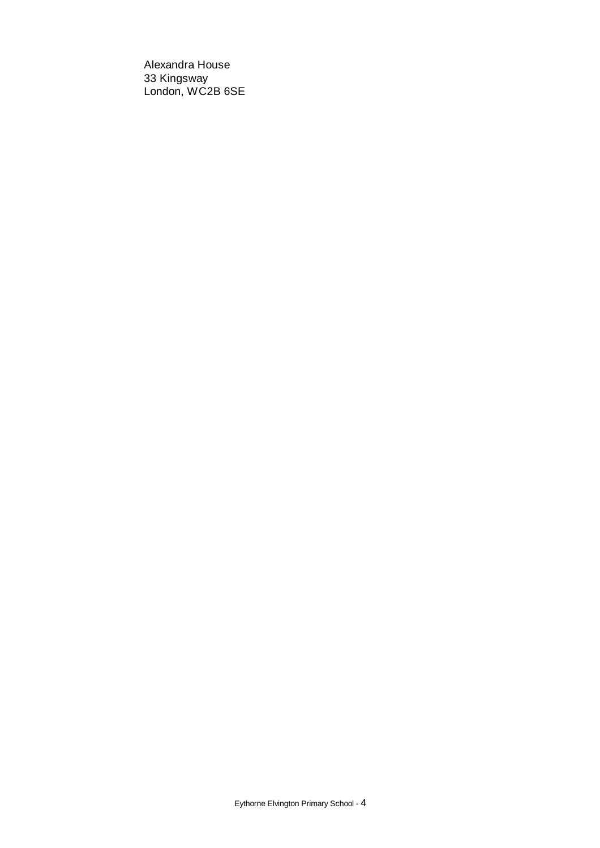Alexandra House 33 Kingsway London, WC2B 6SE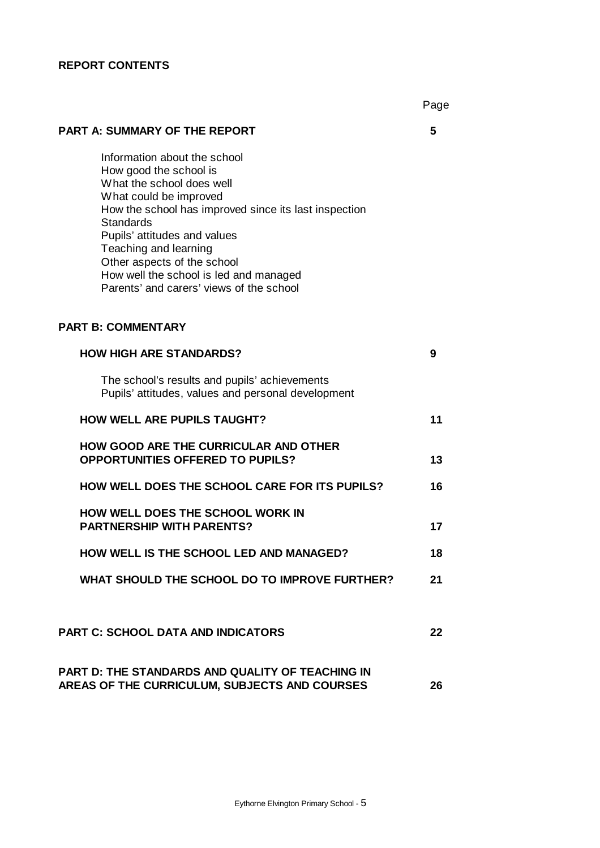#### **REPORT CONTENTS**

Page

#### **PART A: SUMMARY OF THE REPORT 5**

Information about the school How good the school is What the school does well What could be improved How the school has improved since its last inspection **Standards** Pupils' attitudes and values Teaching and learning Other aspects of the school How well the school is led and managed Parents' and carers' views of the school

# **PART B: COMMENTARY**

| <b>HOW HIGH ARE STANDARDS?</b>                                                                      | 9  |
|-----------------------------------------------------------------------------------------------------|----|
| The school's results and pupils' achievements<br>Pupils' attitudes, values and personal development |    |
| <b>HOW WELL ARE PUPILS TAUGHT?</b>                                                                  | 11 |
| <b>HOW GOOD ARE THE CURRICULAR AND OTHER</b><br><b>OPPORTUNITIES OFFERED TO PUPILS?</b>             | 13 |
| <b>HOW WELL DOES THE SCHOOL CARE FOR ITS PUPILS?</b>                                                | 16 |
| HOW WELL DOES THE SCHOOL WORK IN<br><b>PARTNERSHIP WITH PARENTS?</b>                                | 17 |
| <b>HOW WELL IS THE SCHOOL LED AND MANAGED?</b>                                                      | 18 |
| WHAT SHOULD THE SCHOOL DO TO IMPROVE FURTHER?                                                       | 21 |
|                                                                                                     |    |
| <b>PART C: SCHOOL DATA AND INDICATORS</b>                                                           | 22 |
| PART D: THE STANDARDS AND QUALITY OF TEACHING IN                                                    |    |

**AREAS OF THE CURRICULUM, SUBJECTS AND COURSES 26**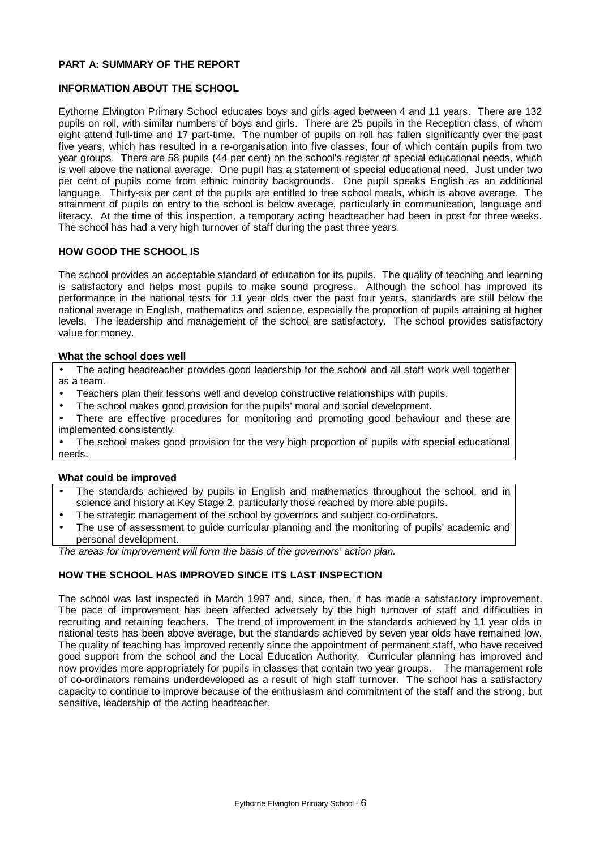#### **PART A: SUMMARY OF THE REPORT**

#### **INFORMATION ABOUT THE SCHOOL**

Eythorne Elvington Primary School educates boys and girls aged between 4 and 11 years. There are 132 pupils on roll, with similar numbers of boys and girls. There are 25 pupils in the Reception class, of whom eight attend full-time and 17 part-time. The number of pupils on roll has fallen significantly over the past five years, which has resulted in a re-organisation into five classes, four of which contain pupils from two year groups. There are 58 pupils (44 per cent) on the school's register of special educational needs, which is well above the national average. One pupil has a statement of special educational need. Just under two per cent of pupils come from ethnic minority backgrounds. One pupil speaks English as an additional language. Thirty-six per cent of the pupils are entitled to free school meals, which is above average. The attainment of pupils on entry to the school is below average, particularly in communication, language and literacy. At the time of this inspection, a temporary acting headteacher had been in post for three weeks. The school has had a very high turnover of staff during the past three years.

#### **HOW GOOD THE SCHOOL IS**

The school provides an acceptable standard of education for its pupils. The quality of teaching and learning is satisfactory and helps most pupils to make sound progress. Although the school has improved its performance in the national tests for 11 year olds over the past four years, standards are still below the national average in English, mathematics and science, especially the proportion of pupils attaining at higher levels. The leadership and management of the school are satisfactory. The school provides satisfactory value for money.

#### **What the school does well**

• The acting headteacher provides good leadership for the school and all staff work well together as a team.

- Teachers plan their lessons well and develop constructive relationships with pupils.
- The school makes good provision for the pupils' moral and social development.
- There are effective procedures for monitoring and promoting good behaviour and these are implemented consistently.

• The school makes good provision for the very high proportion of pupils with special educational needs.

#### **What could be improved**

- The standards achieved by pupils in English and mathematics throughout the school, and in science and history at Key Stage 2, particularly those reached by more able pupils.
- The strategic management of the school by governors and subject co-ordinators.
- The use of assessment to quide curricular planning and the monitoring of pupils' academic and personal development.

*The areas for improvement will form the basis of the governors' action plan.*

#### **HOW THE SCHOOL HAS IMPROVED SINCE ITS LAST INSPECTION**

The school was last inspected in March 1997 and, since, then, it has made a satisfactory improvement. The pace of improvement has been affected adversely by the high turnover of staff and difficulties in recruiting and retaining teachers. The trend of improvement in the standards achieved by 11 year olds in national tests has been above average, but the standards achieved by seven year olds have remained low. The quality of teaching has improved recently since the appointment of permanent staff, who have received good support from the school and the Local Education Authority. Curricular planning has improved and now provides more appropriately for pupils in classes that contain two year groups. The management role of co-ordinators remains underdeveloped as a result of high staff turnover. The school has a satisfactory capacity to continue to improve because of the enthusiasm and commitment of the staff and the strong, but sensitive, leadership of the acting headteacher.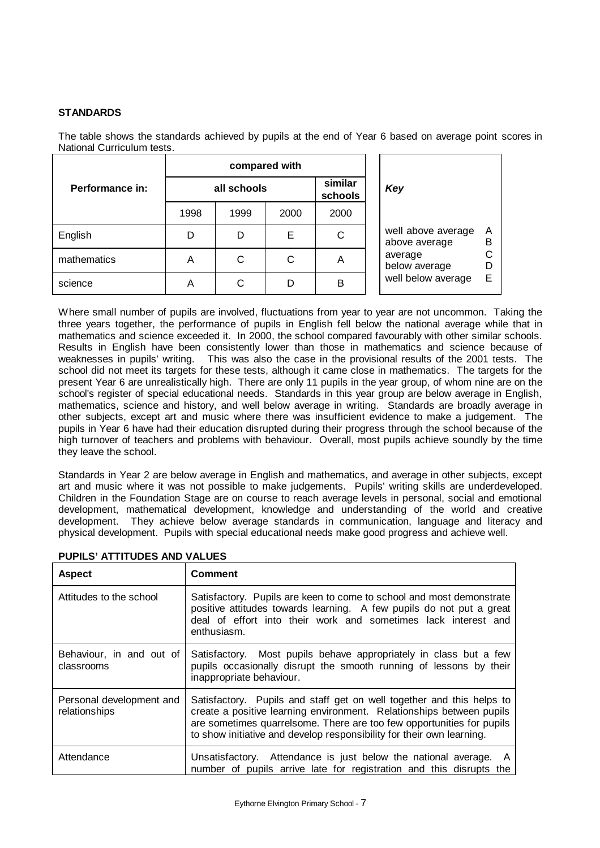#### **STANDARDS**

The table shows the standards achieved by pupils at the end of Year 6 based on average point scores in National Curriculum tests.

|                 | compared with |      |                    |      |                                                            |
|-----------------|---------------|------|--------------------|------|------------------------------------------------------------|
| Performance in: | all schools   |      | similar<br>schools | Key  |                                                            |
|                 | 1998          | 1999 | 2000               | 2000 |                                                            |
| English         | D             | D    | Е                  | C    | well above average<br>$\overline{A}$<br>в<br>above average |
| mathematics     | Α             | С    | С                  | A    | average<br>below average                                   |
| science         | Α             | C    | D                  | B    | well below average<br>Е                                    |

Where small number of pupils are involved, fluctuations from year to year are not uncommon. Taking the three years together, the performance of pupils in English fell below the national average while that in mathematics and science exceeded it. In 2000, the school compared favourably with other similar schools. Results in English have been consistently lower than those in mathematics and science because of weaknesses in pupils' writing. This was also the case in the provisional results of the 2001 tests. The school did not meet its targets for these tests, although it came close in mathematics. The targets for the present Year 6 are unrealistically high. There are only 11 pupils in the year group, of whom nine are on the school's register of special educational needs. Standards in this year group are below average in English, mathematics, science and history, and well below average in writing. Standards are broadly average in other subjects, except art and music where there was insufficient evidence to make a judgement. The pupils in Year 6 have had their education disrupted during their progress through the school because of the high turnover of teachers and problems with behaviour. Overall, most pupils achieve soundly by the time they leave the school.

Standards in Year 2 are below average in English and mathematics, and average in other subjects, except art and music where it was not possible to make judgements. Pupils' writing skills are underdeveloped. Children in the Foundation Stage are on course to reach average levels in personal, social and emotional development, mathematical development, knowledge and understanding of the world and creative development. They achieve below average standards in communication, language and literacy and physical development. Pupils with special educational needs make good progress and achieve well.

| <b>Aspect</b>                             | <b>Comment</b>                                                                                                                                                                                                                                                                                  |
|-------------------------------------------|-------------------------------------------------------------------------------------------------------------------------------------------------------------------------------------------------------------------------------------------------------------------------------------------------|
| Attitudes to the school                   | Satisfactory. Pupils are keen to come to school and most demonstrate<br>positive attitudes towards learning. A few pupils do not put a great<br>deal of effort into their work and sometimes lack interest and<br>enthusiasm.                                                                   |
| Behaviour, in and out of<br>classrooms    | Satisfactory. Most pupils behave appropriately in class but a few<br>pupils occasionally disrupt the smooth running of lessons by their<br>inappropriate behaviour.                                                                                                                             |
| Personal development and<br>relationships | Satisfactory. Pupils and staff get on well together and this helps to<br>create a positive learning environment. Relationships between pupils<br>are sometimes quarrelsome. There are too few opportunities for pupils<br>to show initiative and develop responsibility for their own learning. |
| Attendance                                | Unsatisfactory. Attendance is just below the national average. A<br>number of pupils arrive late for registration and this disrupts the                                                                                                                                                         |

### **PUPILS' ATTITUDES AND VALUES**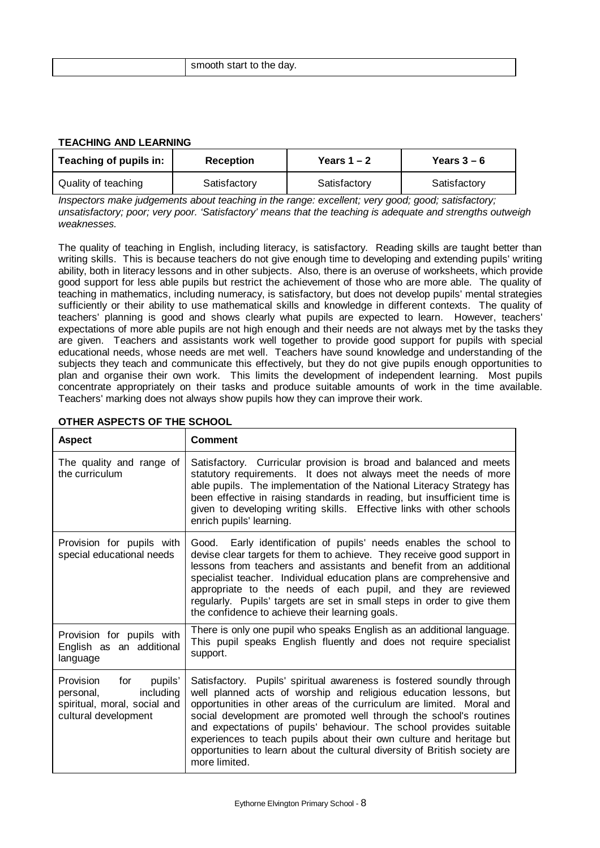| smooth start to the day.<br>. |  |  |
|-------------------------------|--|--|
|-------------------------------|--|--|

#### **TEACHING AND LEARNING**

| Teaching of pupils in: | <b>Reception</b> | Years $1 - 2$ | Years $3-6$  |
|------------------------|------------------|---------------|--------------|
| Quality of teaching    | Satisfactory     | Satisfactory  | Satisfactory |

*Inspectors make judgements about teaching in the range: excellent; very good; good; satisfactory; unsatisfactory; poor; very poor. 'Satisfactory' means that the teaching is adequate and strengths outweigh weaknesses.*

The quality of teaching in English, including literacy, is satisfactory. Reading skills are taught better than writing skills. This is because teachers do not give enough time to developing and extending pupils' writing ability, both in literacy lessons and in other subjects. Also, there is an overuse of worksheets, which provide good support for less able pupils but restrict the achievement of those who are more able. The quality of teaching in mathematics, including numeracy, is satisfactory, but does not develop pupils' mental strategies sufficiently or their ability to use mathematical skills and knowledge in different contexts. The quality of teachers' planning is good and shows clearly what pupils are expected to learn. However, teachers' expectations of more able pupils are not high enough and their needs are not always met by the tasks they are given. Teachers and assistants work well together to provide good support for pupils with special educational needs, whose needs are met well. Teachers have sound knowledge and understanding of the subjects they teach and communicate this effectively, but they do not give pupils enough opportunities to plan and organise their own work. This limits the development of independent learning. Most pupils concentrate appropriately on their tasks and produce suitable amounts of work in the time available. Teachers' marking does not always show pupils how they can improve their work.

| <b>Aspect</b>                                                                                           | <b>Comment</b>                                                                                                                                                                                                                                                                                                                                                                                                                                                                                                                          |
|---------------------------------------------------------------------------------------------------------|-----------------------------------------------------------------------------------------------------------------------------------------------------------------------------------------------------------------------------------------------------------------------------------------------------------------------------------------------------------------------------------------------------------------------------------------------------------------------------------------------------------------------------------------|
| The quality and range of<br>the curriculum                                                              | Satisfactory. Curricular provision is broad and balanced and meets<br>statutory requirements. It does not always meet the needs of more<br>able pupils. The implementation of the National Literacy Strategy has<br>been effective in raising standards in reading, but insufficient time is<br>given to developing writing skills. Effective links with other schools<br>enrich pupils' learning.                                                                                                                                      |
| Provision for pupils with<br>special educational needs                                                  | Good. Early identification of pupils' needs enables the school to<br>devise clear targets for them to achieve. They receive good support in<br>lessons from teachers and assistants and benefit from an additional<br>specialist teacher. Individual education plans are comprehensive and<br>appropriate to the needs of each pupil, and they are reviewed<br>regularly. Pupils' targets are set in small steps in order to give them<br>the confidence to achieve their learning goals.                                               |
| Provision for pupils with<br>English as an additional<br>language                                       | There is only one pupil who speaks English as an additional language.<br>This pupil speaks English fluently and does not require specialist<br>support.                                                                                                                                                                                                                                                                                                                                                                                 |
| Provision for pupils'<br>including<br>personal,<br>spiritual, moral, social and<br>cultural development | Satisfactory. Pupils' spiritual awareness is fostered soundly through<br>well planned acts of worship and religious education lessons, but<br>opportunities in other areas of the curriculum are limited. Moral and<br>social development are promoted well through the school's routines<br>and expectations of pupils' behaviour. The school provides suitable<br>experiences to teach pupils about their own culture and heritage but<br>opportunities to learn about the cultural diversity of British society are<br>more limited. |

#### **OTHER ASPECTS OF THE SCHOOL**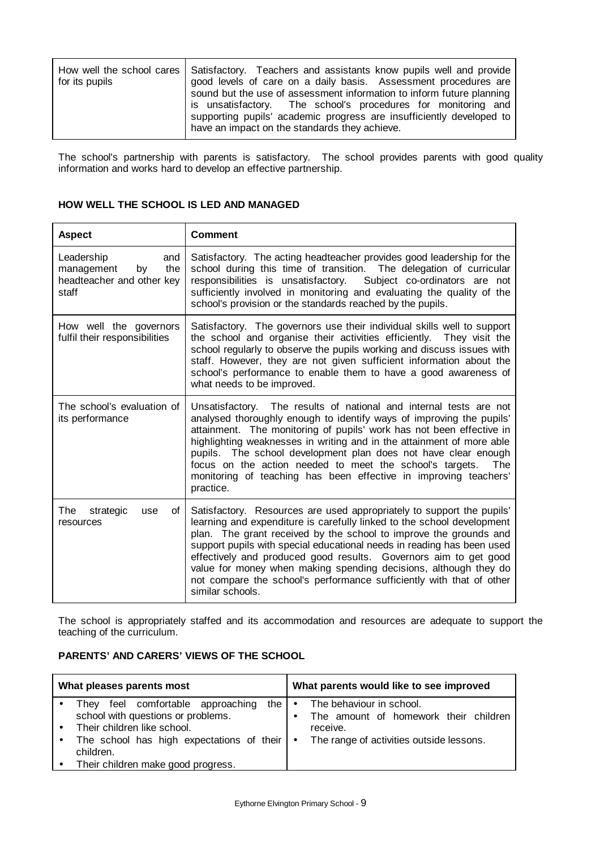| for its pupils | How well the school cares   Satisfactory. Teachers and assistants know pupils well and provide<br>good levels of care on a daily basis. Assessment procedures are<br>sound but the use of assessment information to inform future planning<br>is unsatisfactory. The school's procedures for monitoring and<br>supporting pupils' academic progress are insufficiently developed to<br>have an impact on the standards they achieve. |
|----------------|--------------------------------------------------------------------------------------------------------------------------------------------------------------------------------------------------------------------------------------------------------------------------------------------------------------------------------------------------------------------------------------------------------------------------------------|
|----------------|--------------------------------------------------------------------------------------------------------------------------------------------------------------------------------------------------------------------------------------------------------------------------------------------------------------------------------------------------------------------------------------------------------------------------------------|

The school's partnership with parents is satisfactory. The school provides parents with good quality information and works hard to develop an effective partnership.

# **HOW WELL THE SCHOOL IS LED AND MANAGED**

| <b>Aspect</b>                                                                      | <b>Comment</b>                                                                                                                                                                                                                                                                                                                                                                                                                                                                                                                     |
|------------------------------------------------------------------------------------|------------------------------------------------------------------------------------------------------------------------------------------------------------------------------------------------------------------------------------------------------------------------------------------------------------------------------------------------------------------------------------------------------------------------------------------------------------------------------------------------------------------------------------|
| Leadership<br>and<br>by<br>the<br>management<br>headteacher and other key<br>staff | Satisfactory. The acting headteacher provides good leadership for the<br>school during this time of transition. The delegation of curricular<br>responsibilities is unsatisfactory.<br>Subject co-ordinators are not<br>sufficiently involved in monitoring and evaluating the quality of the<br>school's provision or the standards reached by the pupils.                                                                                                                                                                        |
| How well the governors<br>fulfil their responsibilities                            | Satisfactory. The governors use their individual skills well to support<br>the school and organise their activities efficiently. They visit the<br>school regularly to observe the pupils working and discuss issues with<br>staff. However, they are not given sufficient information about the<br>school's performance to enable them to have a good awareness of<br>what needs to be improved.                                                                                                                                  |
| The school's evaluation of<br>its performance                                      | Unsatisfactory. The results of national and internal tests are not<br>analysed thoroughly enough to identify ways of improving the pupils'<br>attainment. The monitoring of pupils' work has not been effective in<br>highlighting weaknesses in writing and in the attainment of more able<br>pupils. The school development plan does not have clear enough<br>focus on the action needed to meet the school's targets.<br>The<br>monitoring of teaching has been effective in improving teachers'<br>practice.                  |
| The<br>strategic<br>Οf<br>use<br>resources                                         | Satisfactory. Resources are used appropriately to support the pupils'<br>learning and expenditure is carefully linked to the school development<br>plan. The grant received by the school to improve the grounds and<br>support pupils with special educational needs in reading has been used<br>effectively and produced good results. Governors aim to get good<br>value for money when making spending decisions, although they do<br>not compare the school's performance sufficiently with that of other<br>similar schools. |

The school is appropriately staffed and its accommodation and resources are adequate to support the teaching of the curriculum.

# **PARENTS' AND CARERS' VIEWS OF THE SCHOOL**

| What pleases parents most                                                      | What parents would like to see improved                           |
|--------------------------------------------------------------------------------|-------------------------------------------------------------------|
| They feel comfortable approaching<br>the<br>school with questions or problems. | The behaviour in school.<br>The amount of homework their children |
| Their children like school.                                                    | receive.                                                          |
| The school has high expectations of their $\cdot$<br>children.                 | The range of activities outside lessons.                          |
| Their children make good progress.                                             |                                                                   |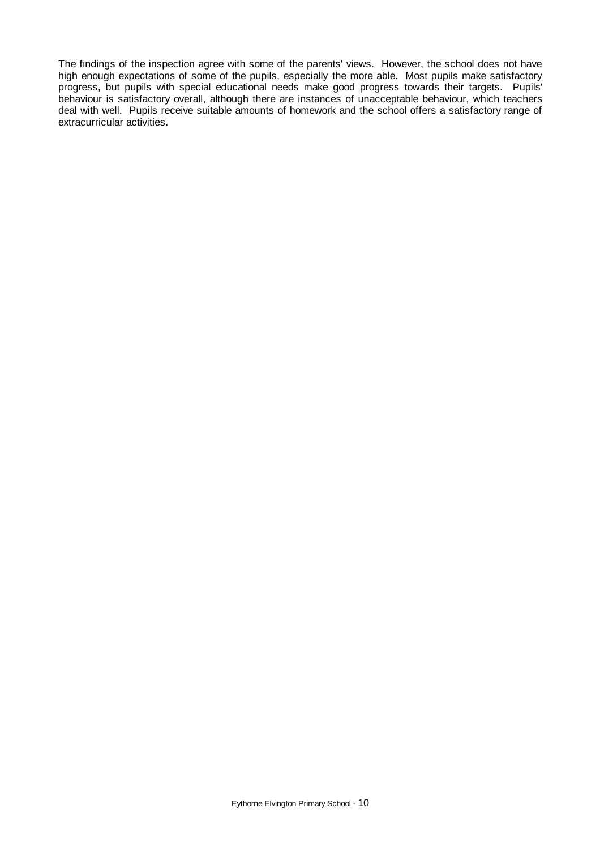The findings of the inspection agree with some of the parents' views. However, the school does not have high enough expectations of some of the pupils, especially the more able. Most pupils make satisfactory progress, but pupils with special educational needs make good progress towards their targets. Pupils' behaviour is satisfactory overall, although there are instances of unacceptable behaviour, which teachers deal with well. Pupils receive suitable amounts of homework and the school offers a satisfactory range of extracurricular activities.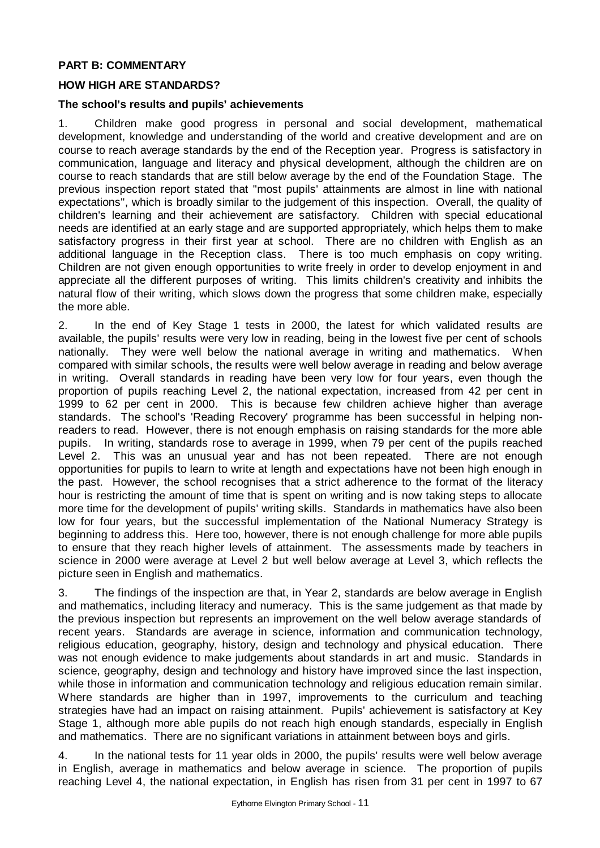# **PART B: COMMENTARY**

## **HOW HIGH ARE STANDARDS?**

#### **The school's results and pupils' achievements**

1. Children make good progress in personal and social development, mathematical development, knowledge and understanding of the world and creative development and are on course to reach average standards by the end of the Reception year. Progress is satisfactory in communication, language and literacy and physical development, although the children are on course to reach standards that are still below average by the end of the Foundation Stage. The previous inspection report stated that "most pupils' attainments are almost in line with national expectations", which is broadly similar to the judgement of this inspection. Overall, the quality of children's learning and their achievement are satisfactory. Children with special educational needs are identified at an early stage and are supported appropriately, which helps them to make satisfactory progress in their first year at school. There are no children with English as an additional language in the Reception class. There is too much emphasis on copy writing. Children are not given enough opportunities to write freely in order to develop enjoyment in and appreciate all the different purposes of writing. This limits children's creativity and inhibits the natural flow of their writing, which slows down the progress that some children make, especially the more able.

2. In the end of Key Stage 1 tests in 2000, the latest for which validated results are available, the pupils' results were very low in reading, being in the lowest five per cent of schools nationally. They were well below the national average in writing and mathematics. When compared with similar schools, the results were well below average in reading and below average in writing. Overall standards in reading have been very low for four years, even though the proportion of pupils reaching Level 2, the national expectation, increased from 42 per cent in 1999 to 62 per cent in 2000. This is because few children achieve higher than average standards. The school's 'Reading Recovery' programme has been successful in helping nonreaders to read. However, there is not enough emphasis on raising standards for the more able pupils. In writing, standards rose to average in 1999, when 79 per cent of the pupils reached Level 2. This was an unusual year and has not been repeated. There are not enough opportunities for pupils to learn to write at length and expectations have not been high enough in the past. However, the school recognises that a strict adherence to the format of the literacy hour is restricting the amount of time that is spent on writing and is now taking steps to allocate more time for the development of pupils' writing skills. Standards in mathematics have also been low for four years, but the successful implementation of the National Numeracy Strategy is beginning to address this. Here too, however, there is not enough challenge for more able pupils to ensure that they reach higher levels of attainment. The assessments made by teachers in science in 2000 were average at Level 2 but well below average at Level 3, which reflects the picture seen in English and mathematics.

3. The findings of the inspection are that, in Year 2, standards are below average in English and mathematics, including literacy and numeracy. This is the same judgement as that made by the previous inspection but represents an improvement on the well below average standards of recent years. Standards are average in science, information and communication technology, religious education, geography, history, design and technology and physical education. There was not enough evidence to make judgements about standards in art and music. Standards in science, geography, design and technology and history have improved since the last inspection, while those in information and communication technology and religious education remain similar. Where standards are higher than in 1997, improvements to the curriculum and teaching strategies have had an impact on raising attainment. Pupils' achievement is satisfactory at Key Stage 1, although more able pupils do not reach high enough standards, especially in English and mathematics. There are no significant variations in attainment between boys and girls.

4. In the national tests for 11 year olds in 2000, the pupils' results were well below average in English, average in mathematics and below average in science. The proportion of pupils reaching Level 4, the national expectation, in English has risen from 31 per cent in 1997 to 67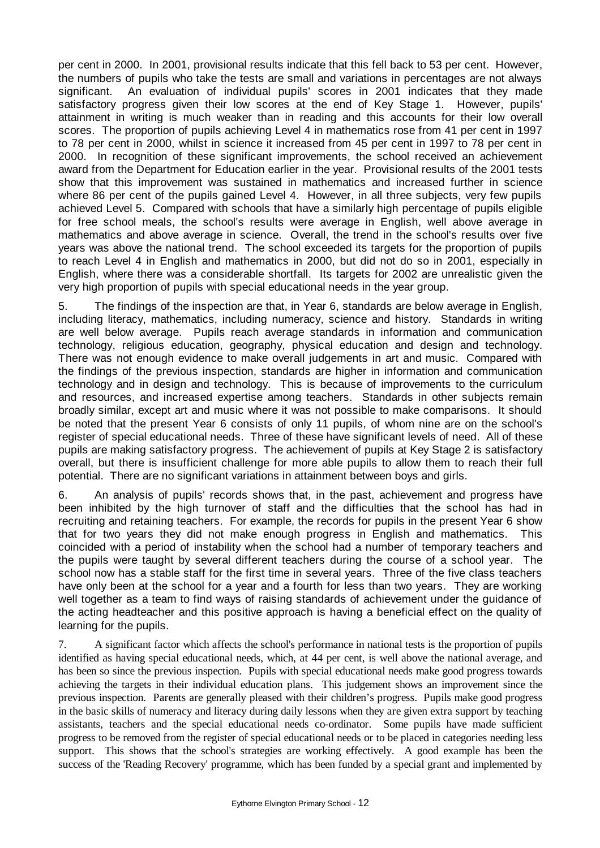per cent in 2000. In 2001, provisional results indicate that this fell back to 53 per cent. However, the numbers of pupils who take the tests are small and variations in percentages are not always significant. An evaluation of individual pupils' scores in 2001 indicates that they made satisfactory progress given their low scores at the end of Key Stage 1. However, pupils' attainment in writing is much weaker than in reading and this accounts for their low overall scores. The proportion of pupils achieving Level 4 in mathematics rose from 41 per cent in 1997 to 78 per cent in 2000, whilst in science it increased from 45 per cent in 1997 to 78 per cent in 2000. In recognition of these significant improvements, the school received an achievement award from the Department for Education earlier in the year. Provisional results of the 2001 tests show that this improvement was sustained in mathematics and increased further in science where 86 per cent of the pupils gained Level 4. However, in all three subjects, very few pupils achieved Level 5. Compared with schools that have a similarly high percentage of pupils eligible for free school meals, the school's results were average in English, well above average in mathematics and above average in science. Overall, the trend in the school's results over five years was above the national trend. The school exceeded its targets for the proportion of pupils to reach Level 4 in English and mathematics in 2000, but did not do so in 2001, especially in English, where there was a considerable shortfall. Its targets for 2002 are unrealistic given the very high proportion of pupils with special educational needs in the year group.

5. The findings of the inspection are that, in Year 6, standards are below average in English, including literacy, mathematics, including numeracy, science and history. Standards in writing are well below average. Pupils reach average standards in information and communication technology, religious education, geography, physical education and design and technology. There was not enough evidence to make overall judgements in art and music. Compared with the findings of the previous inspection, standards are higher in information and communication technology and in design and technology. This is because of improvements to the curriculum and resources, and increased expertise among teachers. Standards in other subjects remain broadly similar, except art and music where it was not possible to make comparisons. It should be noted that the present Year 6 consists of only 11 pupils, of whom nine are on the school's register of special educational needs. Three of these have significant levels of need. All of these pupils are making satisfactory progress. The achievement of pupils at Key Stage 2 is satisfactory overall, but there is insufficient challenge for more able pupils to allow them to reach their full potential. There are no significant variations in attainment between boys and girls.

6. An analysis of pupils' records shows that, in the past, achievement and progress have been inhibited by the high turnover of staff and the difficulties that the school has had in recruiting and retaining teachers. For example, the records for pupils in the present Year 6 show that for two years they did not make enough progress in English and mathematics. This coincided with a period of instability when the school had a number of temporary teachers and the pupils were taught by several different teachers during the course of a school year. The school now has a stable staff for the first time in several years. Three of the five class teachers have only been at the school for a year and a fourth for less than two years. They are working well together as a team to find ways of raising standards of achievement under the guidance of the acting headteacher and this positive approach is having a beneficial effect on the quality of learning for the pupils.

7. A significant factor which affects the school's performance in national tests is the proportion of pupils identified as having special educational needs, which, at 44 per cent, is well above the national average, and has been so since the previous inspection. Pupils with special educational needs make good progress towards achieving the targets in their individual education plans. This judgement shows an improvement since the previous inspection. Parents are generally pleased with their children's progress. Pupils make good progress in the basic skills of numeracy and literacy during daily lessons when they are given extra support by teaching assistants, teachers and the special educational needs co-ordinator. Some pupils have made sufficient progress to be removed from the register of special educational needs or to be placed in categories needing less support. This shows that the school's strategies are working effectively. A good example has been the success of the 'Reading Recovery' programme, which has been funded by a special grant and implemented by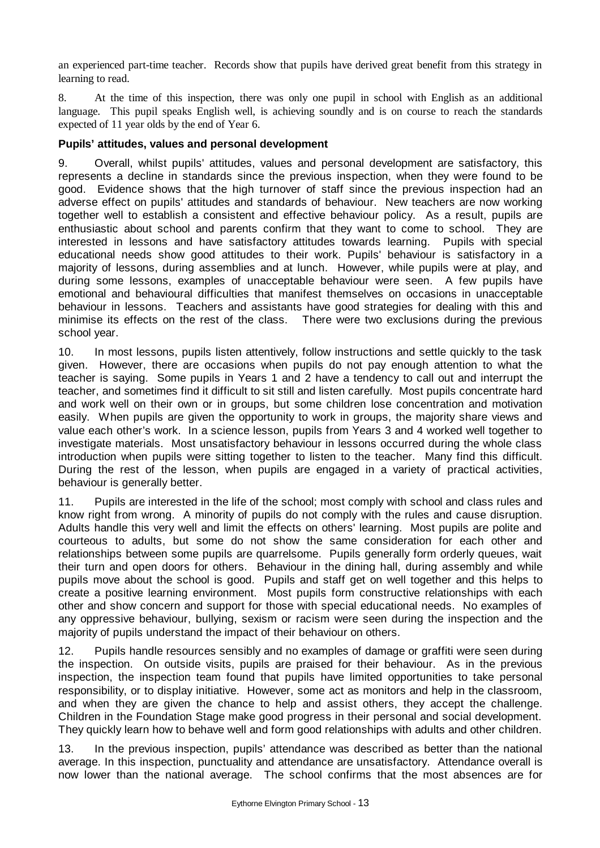an experienced part-time teacher. Records show that pupils have derived great benefit from this strategy in learning to read.

8. At the time of this inspection, there was only one pupil in school with English as an additional language. This pupil speaks English well, is achieving soundly and is on course to reach the standards expected of 11 year olds by the end of Year 6.

### **Pupils' attitudes, values and personal development**

9. Overall, whilst pupils' attitudes, values and personal development are satisfactory, this represents a decline in standards since the previous inspection, when they were found to be good. Evidence shows that the high turnover of staff since the previous inspection had an adverse effect on pupils' attitudes and standards of behaviour. New teachers are now working together well to establish a consistent and effective behaviour policy. As a result, pupils are enthusiastic about school and parents confirm that they want to come to school. They are interested in lessons and have satisfactory attitudes towards learning. Pupils with special educational needs show good attitudes to their work. Pupils' behaviour is satisfactory in a majority of lessons, during assemblies and at lunch. However, while pupils were at play, and during some lessons, examples of unacceptable behaviour were seen. A few pupils have emotional and behavioural difficulties that manifest themselves on occasions in unacceptable behaviour in lessons. Teachers and assistants have good strategies for dealing with this and minimise its effects on the rest of the class. There were two exclusions during the previous school year.

10. In most lessons, pupils listen attentively, follow instructions and settle quickly to the task given. However, there are occasions when pupils do not pay enough attention to what the teacher is saying. Some pupils in Years 1 and 2 have a tendency to call out and interrupt the teacher, and sometimes find it difficult to sit still and listen carefully. Most pupils concentrate hard and work well on their own or in groups, but some children lose concentration and motivation easily. When pupils are given the opportunity to work in groups, the majority share views and value each other's work. In a science lesson, pupils from Years 3 and 4 worked well together to investigate materials. Most unsatisfactory behaviour in lessons occurred during the whole class introduction when pupils were sitting together to listen to the teacher. Many find this difficult. During the rest of the lesson, when pupils are engaged in a variety of practical activities, behaviour is generally better.

11. Pupils are interested in the life of the school; most comply with school and class rules and know right from wrong. A minority of pupils do not comply with the rules and cause disruption. Adults handle this very well and limit the effects on others' learning. Most pupils are polite and courteous to adults, but some do not show the same consideration for each other and relationships between some pupils are quarrelsome. Pupils generally form orderly queues, wait their turn and open doors for others. Behaviour in the dining hall, during assembly and while pupils move about the school is good. Pupils and staff get on well together and this helps to create a positive learning environment. Most pupils form constructive relationships with each other and show concern and support for those with special educational needs. No examples of any oppressive behaviour, bullying, sexism or racism were seen during the inspection and the majority of pupils understand the impact of their behaviour on others.

12. Pupils handle resources sensibly and no examples of damage or graffiti were seen during the inspection. On outside visits, pupils are praised for their behaviour. As in the previous inspection, the inspection team found that pupils have limited opportunities to take personal responsibility, or to display initiative. However, some act as monitors and help in the classroom, and when they are given the chance to help and assist others, they accept the challenge. Children in the Foundation Stage make good progress in their personal and social development. They quickly learn how to behave well and form good relationships with adults and other children.

13. In the previous inspection, pupils' attendance was described as better than the national average. In this inspection, punctuality and attendance are unsatisfactory. Attendance overall is now lower than the national average. The school confirms that the most absences are for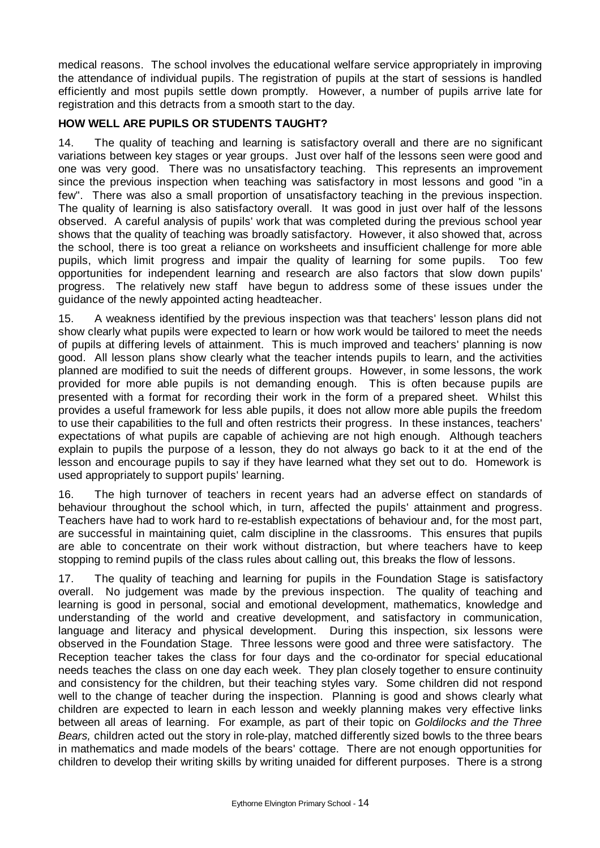medical reasons. The school involves the educational welfare service appropriately in improving the attendance of individual pupils. The registration of pupils at the start of sessions is handled efficiently and most pupils settle down promptly. However, a number of pupils arrive late for registration and this detracts from a smooth start to the day.

# **HOW WELL ARE PUPILS OR STUDENTS TAUGHT?**

14. The quality of teaching and learning is satisfactory overall and there are no significant variations between key stages or year groups. Just over half of the lessons seen were good and one was very good. There was no unsatisfactory teaching. This represents an improvement since the previous inspection when teaching was satisfactory in most lessons and good "in a few". There was also a small proportion of unsatisfactory teaching in the previous inspection. The quality of learning is also satisfactory overall. It was good in just over half of the lessons observed. A careful analysis of pupils' work that was completed during the previous school year shows that the quality of teaching was broadly satisfactory. However, it also showed that, across the school, there is too great a reliance on worksheets and insufficient challenge for more able pupils, which limit progress and impair the quality of learning for some pupils. Too few opportunities for independent learning and research are also factors that slow down pupils' progress. The relatively new staff have begun to address some of these issues under the guidance of the newly appointed acting headteacher.

15. A weakness identified by the previous inspection was that teachers' lesson plans did not show clearly what pupils were expected to learn or how work would be tailored to meet the needs of pupils at differing levels of attainment. This is much improved and teachers' planning is now good. All lesson plans show clearly what the teacher intends pupils to learn, and the activities planned are modified to suit the needs of different groups. However, in some lessons, the work provided for more able pupils is not demanding enough. This is often because pupils are presented with a format for recording their work in the form of a prepared sheet. Whilst this provides a useful framework for less able pupils, it does not allow more able pupils the freedom to use their capabilities to the full and often restricts their progress. In these instances, teachers' expectations of what pupils are capable of achieving are not high enough. Although teachers explain to pupils the purpose of a lesson, they do not always go back to it at the end of the lesson and encourage pupils to say if they have learned what they set out to do. Homework is used appropriately to support pupils' learning.

16. The high turnover of teachers in recent years had an adverse effect on standards of behaviour throughout the school which, in turn, affected the pupils' attainment and progress. Teachers have had to work hard to re-establish expectations of behaviour and, for the most part, are successful in maintaining quiet, calm discipline in the classrooms. This ensures that pupils are able to concentrate on their work without distraction, but where teachers have to keep stopping to remind pupils of the class rules about calling out, this breaks the flow of lessons.

17. The quality of teaching and learning for pupils in the Foundation Stage is satisfactory overall. No judgement was made by the previous inspection. The quality of teaching and learning is good in personal, social and emotional development, mathematics, knowledge and understanding of the world and creative development, and satisfactory in communication, language and literacy and physical development. During this inspection, six lessons were observed in the Foundation Stage. Three lessons were good and three were satisfactory. The Reception teacher takes the class for four days and the co-ordinator for special educational needs teaches the class on one day each week. They plan closely together to ensure continuity and consistency for the children, but their teaching styles vary. Some children did not respond well to the change of teacher during the inspection. Planning is good and shows clearly what children are expected to learn in each lesson and weekly planning makes very effective links between all areas of learning. For example, as part of their topic on *Goldilocks and the Three Bears,* children acted out the story in role-play, matched differently sized bowls to the three bears in mathematics and made models of the bears' cottage. There are not enough opportunities for children to develop their writing skills by writing unaided for different purposes. There is a strong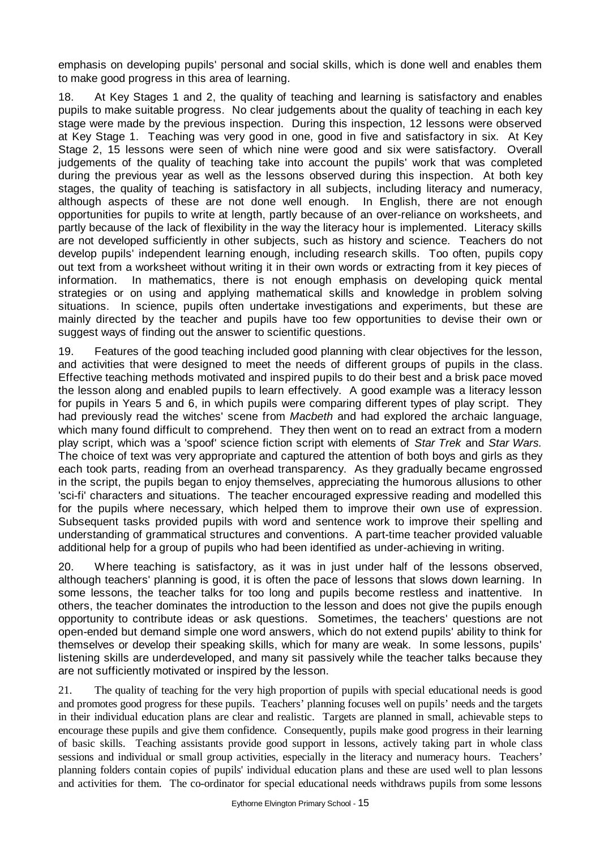emphasis on developing pupils' personal and social skills, which is done well and enables them to make good progress in this area of learning.

18. At Key Stages 1 and 2, the quality of teaching and learning is satisfactory and enables pupils to make suitable progress. No clear judgements about the quality of teaching in each key stage were made by the previous inspection. During this inspection, 12 lessons were observed at Key Stage 1. Teaching was very good in one, good in five and satisfactory in six. At Key Stage 2, 15 lessons were seen of which nine were good and six were satisfactory. Overall judgements of the quality of teaching take into account the pupils' work that was completed during the previous year as well as the lessons observed during this inspection. At both key stages, the quality of teaching is satisfactory in all subjects, including literacy and numeracy, although aspects of these are not done well enough. In English, there are not enough opportunities for pupils to write at length, partly because of an over-reliance on worksheets, and partly because of the lack of flexibility in the way the literacy hour is implemented. Literacy skills are not developed sufficiently in other subjects, such as history and science. Teachers do not develop pupils' independent learning enough, including research skills. Too often, pupils copy out text from a worksheet without writing it in their own words or extracting from it key pieces of information. In mathematics, there is not enough emphasis on developing quick mental strategies or on using and applying mathematical skills and knowledge in problem solving situations. In science, pupils often undertake investigations and experiments, but these are mainly directed by the teacher and pupils have too few opportunities to devise their own or suggest ways of finding out the answer to scientific questions.

19. Features of the good teaching included good planning with clear objectives for the lesson, and activities that were designed to meet the needs of different groups of pupils in the class. Effective teaching methods motivated and inspired pupils to do their best and a brisk pace moved the lesson along and enabled pupils to learn effectively. A good example was a literacy lesson for pupils in Years 5 and 6, in which pupils were comparing different types of play script. They had previously read the witches' scene from *Macbeth* and had explored the archaic language, which many found difficult to comprehend. They then went on to read an extract from a modern play script, which was a 'spoof' science fiction script with elements of *Star Trek* and *Star Wars.*  The choice of text was very appropriate and captured the attention of both boys and girls as they each took parts, reading from an overhead transparency. As they gradually became engrossed in the script, the pupils began to enjoy themselves, appreciating the humorous allusions to other 'sci-fi' characters and situations. The teacher encouraged expressive reading and modelled this for the pupils where necessary, which helped them to improve their own use of expression. Subsequent tasks provided pupils with word and sentence work to improve their spelling and understanding of grammatical structures and conventions. A part-time teacher provided valuable additional help for a group of pupils who had been identified as under-achieving in writing.

20. Where teaching is satisfactory, as it was in just under half of the lessons observed, although teachers' planning is good, it is often the pace of lessons that slows down learning. In some lessons, the teacher talks for too long and pupils become restless and inattentive. In others, the teacher dominates the introduction to the lesson and does not give the pupils enough opportunity to contribute ideas or ask questions. Sometimes, the teachers' questions are not open-ended but demand simple one word answers, which do not extend pupils' ability to think for themselves or develop their speaking skills, which for many are weak. In some lessons, pupils' listening skills are underdeveloped, and many sit passively while the teacher talks because they are not sufficiently motivated or inspired by the lesson.

21. The quality of teaching for the very high proportion of pupils with special educational needs is good and promotes good progress for these pupils. Teachers' planning focuses well on pupils' needs and the targets in their individual education plans are clear and realistic. Targets are planned in small, achievable steps to encourage these pupils and give them confidence. Consequently, pupils make good progress in their learning of basic skills. Teaching assistants provide good support in lessons, actively taking part in whole class sessions and individual or small group activities, especially in the literacy and numeracy hours. Teachers' planning folders contain copies of pupils' individual education plans and these are used well to plan lessons and activities for them. The co-ordinator for special educational needs withdraws pupils from some lessons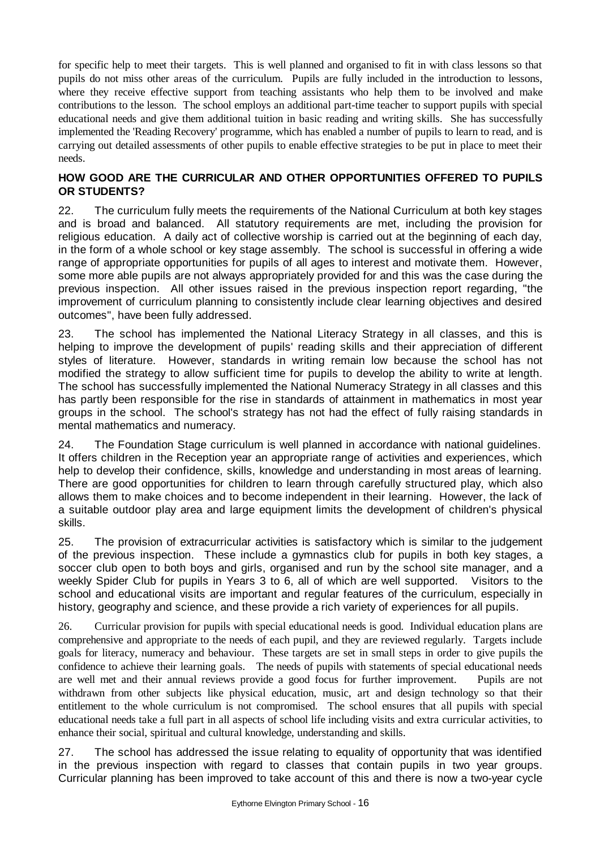for specific help to meet their targets. This is well planned and organised to fit in with class lessons so that pupils do not miss other areas of the curriculum. Pupils are fully included in the introduction to lessons, where they receive effective support from teaching assistants who help them to be involved and make contributions to the lesson. The school employs an additional part-time teacher to support pupils with special educational needs and give them additional tuition in basic reading and writing skills. She has successfully implemented the 'Reading Recovery' programme, which has enabled a number of pupils to learn to read, and is carrying out detailed assessments of other pupils to enable effective strategies to be put in place to meet their needs.

# **HOW GOOD ARE THE CURRICULAR AND OTHER OPPORTUNITIES OFFERED TO PUPILS OR STUDENTS?**

22. The curriculum fully meets the requirements of the National Curriculum at both key stages and is broad and balanced. All statutory requirements are met, including the provision for religious education. A daily act of collective worship is carried out at the beginning of each day, in the form of a whole school or key stage assembly. The school is successful in offering a wide range of appropriate opportunities for pupils of all ages to interest and motivate them. However, some more able pupils are not always appropriately provided for and this was the case during the previous inspection. All other issues raised in the previous inspection report regarding, "the improvement of curriculum planning to consistently include clear learning objectives and desired outcomes", have been fully addressed.

23. The school has implemented the National Literacy Strategy in all classes, and this is helping to improve the development of pupils' reading skills and their appreciation of different styles of literature. However, standards in writing remain low because the school has not modified the strategy to allow sufficient time for pupils to develop the ability to write at length. The school has successfully implemented the National Numeracy Strategy in all classes and this has partly been responsible for the rise in standards of attainment in mathematics in most year groups in the school. The school's strategy has not had the effect of fully raising standards in mental mathematics and numeracy.

24. The Foundation Stage curriculum is well planned in accordance with national guidelines. It offers children in the Reception year an appropriate range of activities and experiences, which help to develop their confidence, skills, knowledge and understanding in most areas of learning. There are good opportunities for children to learn through carefully structured play, which also allows them to make choices and to become independent in their learning. However, the lack of a suitable outdoor play area and large equipment limits the development of children's physical skills.

25. The provision of extracurricular activities is satisfactory which is similar to the judgement of the previous inspection. These include a gymnastics club for pupils in both key stages, a soccer club open to both boys and girls, organised and run by the school site manager, and a weekly Spider Club for pupils in Years 3 to 6, all of which are well supported. Visitors to the school and educational visits are important and regular features of the curriculum, especially in history, geography and science, and these provide a rich variety of experiences for all pupils.

26. Curricular provision for pupils with special educational needs is good. Individual education plans are comprehensive and appropriate to the needs of each pupil, and they are reviewed regularly. Targets include goals for literacy, numeracy and behaviour. These targets are set in small steps in order to give pupils the confidence to achieve their learning goals. The needs of pupils with statements of special educational needs are well met and their annual reviews provide a good focus for further improvement. Pupils are not withdrawn from other subjects like physical education, music, art and design technology so that their entitlement to the whole curriculum is not compromised. The school ensures that all pupils with special educational needs take a full part in all aspects of school life including visits and extra curricular activities, to enhance their social, spiritual and cultural knowledge, understanding and skills.

27. The school has addressed the issue relating to equality of opportunity that was identified in the previous inspection with regard to classes that contain pupils in two year groups. Curricular planning has been improved to take account of this and there is now a two-year cycle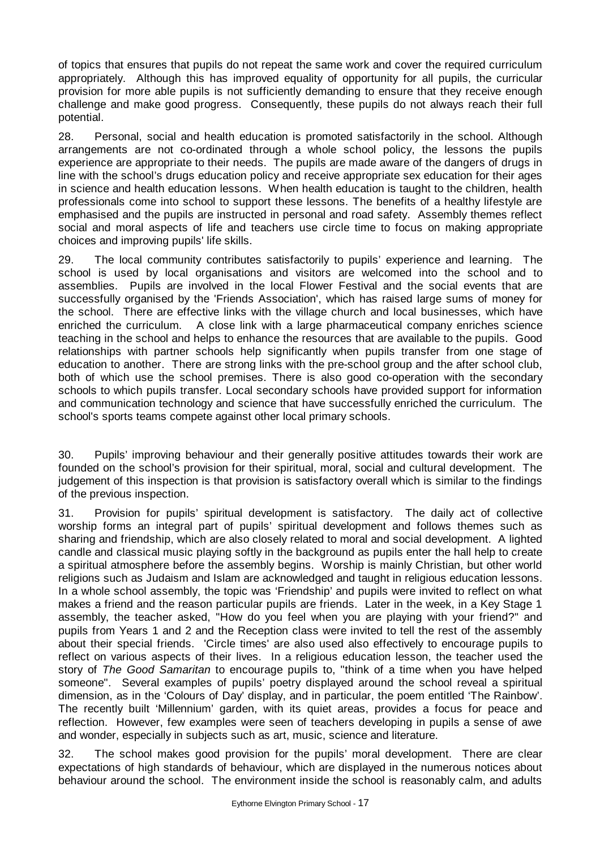of topics that ensures that pupils do not repeat the same work and cover the required curriculum appropriately. Although this has improved equality of opportunity for all pupils, the curricular provision for more able pupils is not sufficiently demanding to ensure that they receive enough challenge and make good progress. Consequently, these pupils do not always reach their full potential.

28. Personal, social and health education is promoted satisfactorily in the school. Although arrangements are not co-ordinated through a whole school policy, the lessons the pupils experience are appropriate to their needs. The pupils are made aware of the dangers of drugs in line with the school's drugs education policy and receive appropriate sex education for their ages in science and health education lessons. When health education is taught to the children, health professionals come into school to support these lessons. The benefits of a healthy lifestyle are emphasised and the pupils are instructed in personal and road safety. Assembly themes reflect social and moral aspects of life and teachers use circle time to focus on making appropriate choices and improving pupils' life skills.

29. The local community contributes satisfactorily to pupils' experience and learning. The school is used by local organisations and visitors are welcomed into the school and to assemblies. Pupils are involved in the local Flower Festival and the social events that are successfully organised by the 'Friends Association', which has raised large sums of money for the school. There are effective links with the village church and local businesses, which have enriched the curriculum. A close link with a large pharmaceutical company enriches science teaching in the school and helps to enhance the resources that are available to the pupils. Good relationships with partner schools help significantly when pupils transfer from one stage of education to another. There are strong links with the pre-school group and the after school club, both of which use the school premises. There is also good co-operation with the secondary schools to which pupils transfer. Local secondary schools have provided support for information and communication technology and science that have successfully enriched the curriculum. The school's sports teams compete against other local primary schools.

30. Pupils' improving behaviour and their generally positive attitudes towards their work are founded on the school's provision for their spiritual, moral, social and cultural development. The judgement of this inspection is that provision is satisfactory overall which is similar to the findings of the previous inspection.

31. Provision for pupils' spiritual development is satisfactory. The daily act of collective worship forms an integral part of pupils' spiritual development and follows themes such as sharing and friendship, which are also closely related to moral and social development. A lighted candle and classical music playing softly in the background as pupils enter the hall help to create a spiritual atmosphere before the assembly begins. Worship is mainly Christian, but other world religions such as Judaism and Islam are acknowledged and taught in religious education lessons. In a whole school assembly, the topic was 'Friendship' and pupils were invited to reflect on what makes a friend and the reason particular pupils are friends. Later in the week, in a Key Stage 1 assembly, the teacher asked, "How do you feel when you are playing with your friend?" and pupils from Years 1 and 2 and the Reception class were invited to tell the rest of the assembly about their special friends. 'Circle times' are also used also effectively to encourage pupils to reflect on various aspects of their lives. In a religious education lesson, the teacher used the story of *The Good Samaritan* to encourage pupils to, "think of a time when you have helped someone". Several examples of pupils' poetry displayed around the school reveal a spiritual dimension, as in the 'Colours of Day' display, and in particular, the poem entitled 'The Rainbow'. The recently built 'Millennium' garden, with its quiet areas, provides a focus for peace and reflection. However, few examples were seen of teachers developing in pupils a sense of awe and wonder, especially in subjects such as art, music, science and literature.

32. The school makes good provision for the pupils' moral development. There are clear expectations of high standards of behaviour, which are displayed in the numerous notices about behaviour around the school. The environment inside the school is reasonably calm, and adults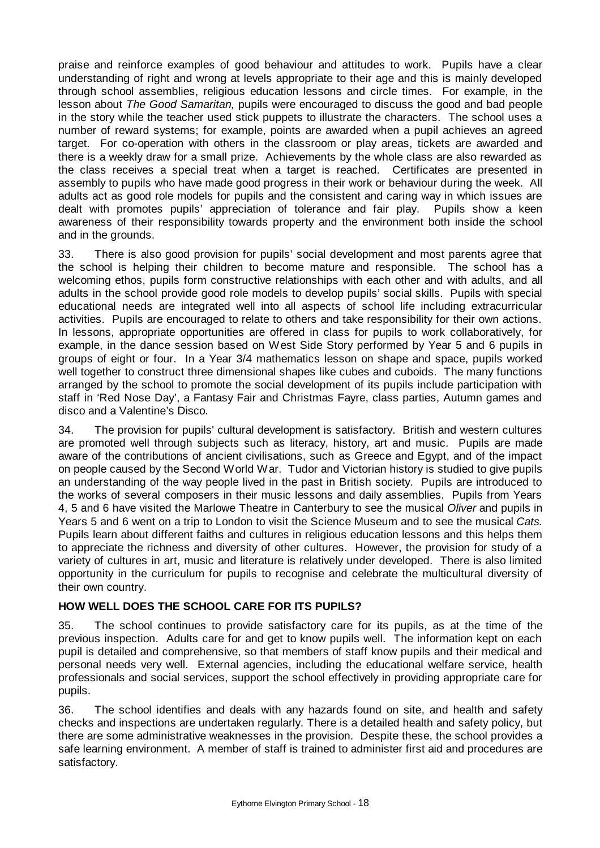praise and reinforce examples of good behaviour and attitudes to work. Pupils have a clear understanding of right and wrong at levels appropriate to their age and this is mainly developed through school assemblies, religious education lessons and circle times. For example, in the lesson about *The Good Samaritan,* pupils were encouraged to discuss the good and bad people in the story while the teacher used stick puppets to illustrate the characters. The school uses a number of reward systems; for example, points are awarded when a pupil achieves an agreed target. For co-operation with others in the classroom or play areas, tickets are awarded and there is a weekly draw for a small prize. Achievements by the whole class are also rewarded as the class receives a special treat when a target is reached. Certificates are presented in assembly to pupils who have made good progress in their work or behaviour during the week. All adults act as good role models for pupils and the consistent and caring way in which issues are dealt with promotes pupils' appreciation of tolerance and fair play. Pupils show a keen awareness of their responsibility towards property and the environment both inside the school and in the grounds.

33. There is also good provision for pupils' social development and most parents agree that the school is helping their children to become mature and responsible. The school has a welcoming ethos, pupils form constructive relationships with each other and with adults, and all adults in the school provide good role models to develop pupils' social skills. Pupils with special educational needs are integrated well into all aspects of school life including extracurricular activities. Pupils are encouraged to relate to others and take responsibility for their own actions. In lessons, appropriate opportunities are offered in class for pupils to work collaboratively, for example, in the dance session based on West Side Story performed by Year 5 and 6 pupils in groups of eight or four. In a Year 3/4 mathematics lesson on shape and space, pupils worked well together to construct three dimensional shapes like cubes and cuboids. The many functions arranged by the school to promote the social development of its pupils include participation with staff in 'Red Nose Day', a Fantasy Fair and Christmas Fayre, class parties, Autumn games and disco and a Valentine's Disco.

34. The provision for pupils' cultural development is satisfactory. British and western cultures are promoted well through subjects such as literacy, history, art and music. Pupils are made aware of the contributions of ancient civilisations, such as Greece and Egypt, and of the impact on people caused by the Second World War. Tudor and Victorian history is studied to give pupils an understanding of the way people lived in the past in British society. Pupils are introduced to the works of several composers in their music lessons and daily assemblies. Pupils from Years 4, 5 and 6 have visited the Marlowe Theatre in Canterbury to see the musical *Oliver* and pupils in Years 5 and 6 went on a trip to London to visit the Science Museum and to see the musical *Cats.* Pupils learn about different faiths and cultures in religious education lessons and this helps them to appreciate the richness and diversity of other cultures. However, the provision for study of a variety of cultures in art, music and literature is relatively under developed. There is also limited opportunity in the curriculum for pupils to recognise and celebrate the multicultural diversity of their own country.

# **HOW WELL DOES THE SCHOOL CARE FOR ITS PUPILS?**

35. The school continues to provide satisfactory care for its pupils, as at the time of the previous inspection. Adults care for and get to know pupils well. The information kept on each pupil is detailed and comprehensive, so that members of staff know pupils and their medical and personal needs very well. External agencies, including the educational welfare service, health professionals and social services, support the school effectively in providing appropriate care for pupils.

36. The school identifies and deals with any hazards found on site, and health and safety checks and inspections are undertaken regularly. There is a detailed health and safety policy, but there are some administrative weaknesses in the provision. Despite these, the school provides a safe learning environment. A member of staff is trained to administer first aid and procedures are satisfactory.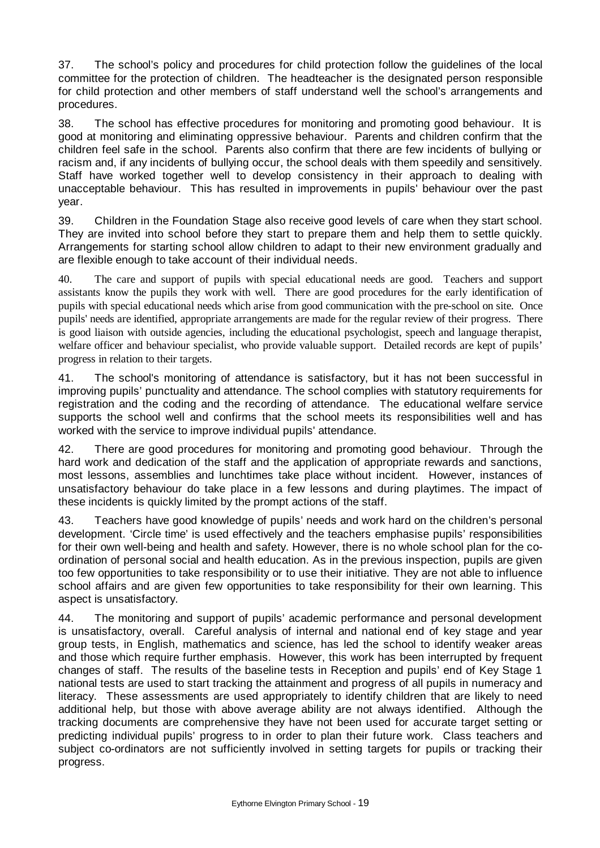37. The school's policy and procedures for child protection follow the guidelines of the local committee for the protection of children. The headteacher is the designated person responsible for child protection and other members of staff understand well the school's arrangements and procedures.

38. The school has effective procedures for monitoring and promoting good behaviour. It is good at monitoring and eliminating oppressive behaviour. Parents and children confirm that the children feel safe in the school. Parents also confirm that there are few incidents of bullying or racism and, if any incidents of bullying occur, the school deals with them speedily and sensitively. Staff have worked together well to develop consistency in their approach to dealing with unacceptable behaviour. This has resulted in improvements in pupils' behaviour over the past year.

39. Children in the Foundation Stage also receive good levels of care when they start school. They are invited into school before they start to prepare them and help them to settle quickly. Arrangements for starting school allow children to adapt to their new environment gradually and are flexible enough to take account of their individual needs.

40. The care and support of pupils with special educational needs are good. Teachers and support assistants know the pupils they work with well. There are good procedures for the early identification of pupils with special educational needs which arise from good communication with the pre-school on site. Once pupils' needs are identified, appropriate arrangements are made for the regular review of their progress. There is good liaison with outside agencies, including the educational psychologist, speech and language therapist, welfare officer and behaviour specialist, who provide valuable support. Detailed records are kept of pupils' progress in relation to their targets.

41. The school's monitoring of attendance is satisfactory, but it has not been successful in improving pupils' punctuality and attendance. The school complies with statutory requirements for registration and the coding and the recording of attendance. The educational welfare service supports the school well and confirms that the school meets its responsibilities well and has worked with the service to improve individual pupils' attendance.

42. There are good procedures for monitoring and promoting good behaviour. Through the hard work and dedication of the staff and the application of appropriate rewards and sanctions, most lessons, assemblies and lunchtimes take place without incident. However, instances of unsatisfactory behaviour do take place in a few lessons and during playtimes. The impact of these incidents is quickly limited by the prompt actions of the staff.

43. Teachers have good knowledge of pupils' needs and work hard on the children's personal development. 'Circle time' is used effectively and the teachers emphasise pupils' responsibilities for their own well-being and health and safety. However, there is no whole school plan for the coordination of personal social and health education. As in the previous inspection, pupils are given too few opportunities to take responsibility or to use their initiative. They are not able to influence school affairs and are given few opportunities to take responsibility for their own learning. This aspect is unsatisfactory.

44. The monitoring and support of pupils' academic performance and personal development is unsatisfactory, overall. Careful analysis of internal and national end of key stage and year group tests, in English, mathematics and science, has led the school to identify weaker areas and those which require further emphasis. However, this work has been interrupted by frequent changes of staff. The results of the baseline tests in Reception and pupils' end of Key Stage 1 national tests are used to start tracking the attainment and progress of all pupils in numeracy and literacy. These assessments are used appropriately to identify children that are likely to need additional help, but those with above average ability are not always identified. Although the tracking documents are comprehensive they have not been used for accurate target setting or predicting individual pupils' progress to in order to plan their future work. Class teachers and subject co-ordinators are not sufficiently involved in setting targets for pupils or tracking their progress.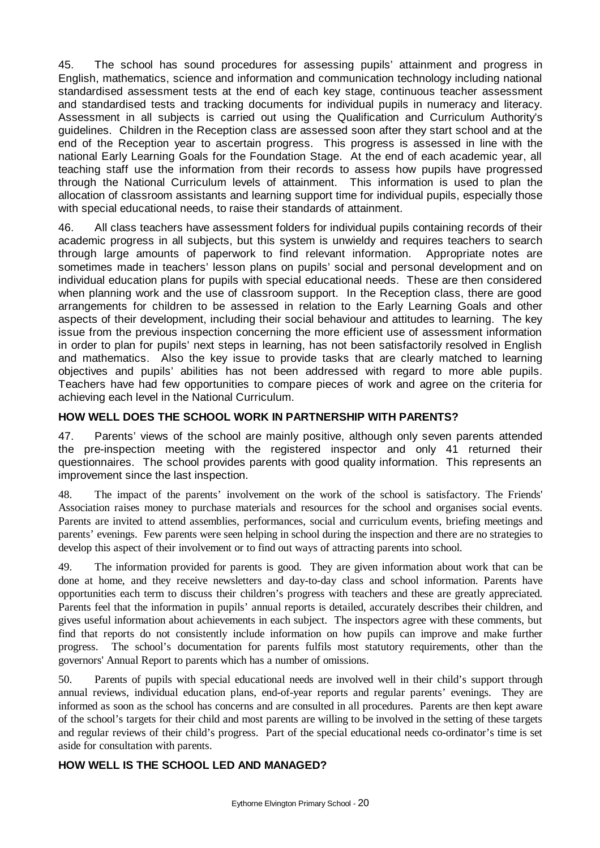45. The school has sound procedures for assessing pupils' attainment and progress in English, mathematics, science and information and communication technology including national standardised assessment tests at the end of each key stage, continuous teacher assessment and standardised tests and tracking documents for individual pupils in numeracy and literacy. Assessment in all subjects is carried out using the Qualification and Curriculum Authority's guidelines. Children in the Reception class are assessed soon after they start school and at the end of the Reception year to ascertain progress. This progress is assessed in line with the national Early Learning Goals for the Foundation Stage. At the end of each academic year, all teaching staff use the information from their records to assess how pupils have progressed through the National Curriculum levels of attainment. This information is used to plan the allocation of classroom assistants and learning support time for individual pupils, especially those with special educational needs, to raise their standards of attainment.

46. All class teachers have assessment folders for individual pupils containing records of their academic progress in all subjects, but this system is unwieldy and requires teachers to search through large amounts of paperwork to find relevant information. Appropriate notes are sometimes made in teachers' lesson plans on pupils' social and personal development and on individual education plans for pupils with special educational needs. These are then considered when planning work and the use of classroom support. In the Reception class, there are good arrangements for children to be assessed in relation to the Early Learning Goals and other aspects of their development, including their social behaviour and attitudes to learning. The key issue from the previous inspection concerning the more efficient use of assessment information in order to plan for pupils' next steps in learning, has not been satisfactorily resolved in English and mathematics. Also the key issue to provide tasks that are clearly matched to learning objectives and pupils' abilities has not been addressed with regard to more able pupils. Teachers have had few opportunities to compare pieces of work and agree on the criteria for achieving each level in the National Curriculum.

# **HOW WELL DOES THE SCHOOL WORK IN PARTNERSHIP WITH PARENTS?**

47. Parents' views of the school are mainly positive, although only seven parents attended the pre-inspection meeting with the registered inspector and only 41 returned their questionnaires. The school provides parents with good quality information. This represents an improvement since the last inspection.

48. The impact of the parents' involvement on the work of the school is satisfactory. The Friends' Association raises money to purchase materials and resources for the school and organises social events. Parents are invited to attend assemblies, performances, social and curriculum events, briefing meetings and parents' evenings. Few parents were seen helping in school during the inspection and there are no strategies to develop this aspect of their involvement or to find out ways of attracting parents into school.

49. The information provided for parents is good. They are given information about work that can be done at home, and they receive newsletters and day-to-day class and school information. Parents have opportunities each term to discuss their children's progress with teachers and these are greatly appreciated. Parents feel that the information in pupils' annual reports is detailed, accurately describes their children, and gives useful information about achievements in each subject. The inspectors agree with these comments, but find that reports do not consistently include information on how pupils can improve and make further progress. The school's documentation for parents fulfils most statutory requirements, other than the governors' Annual Report to parents which has a number of omissions.

50. Parents of pupils with special educational needs are involved well in their child's support through annual reviews, individual education plans, end-of-year reports and regular parents' evenings. They are informed as soon as the school has concerns and are consulted in all procedures. Parents are then kept aware of the school's targets for their child and most parents are willing to be involved in the setting of these targets and regular reviews of their child's progress. Part of the special educational needs co-ordinator's time is set aside for consultation with parents.

# **HOW WELL IS THE SCHOOL LED AND MANAGED?**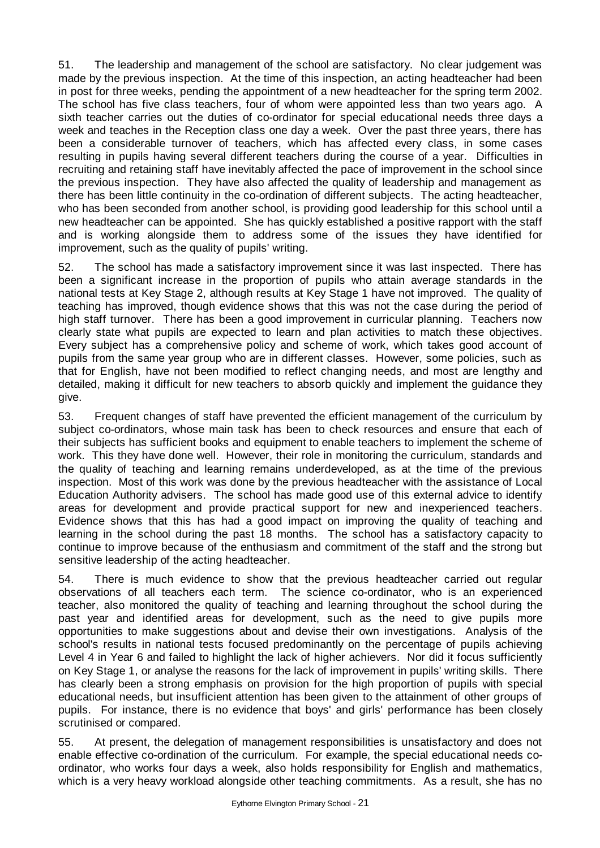51. The leadership and management of the school are satisfactory. No clear judgement was made by the previous inspection. At the time of this inspection, an acting headteacher had been in post for three weeks, pending the appointment of a new headteacher for the spring term 2002. The school has five class teachers, four of whom were appointed less than two years ago. A sixth teacher carries out the duties of co-ordinator for special educational needs three days a week and teaches in the Reception class one day a week. Over the past three years, there has been a considerable turnover of teachers, which has affected every class, in some cases resulting in pupils having several different teachers during the course of a year. Difficulties in recruiting and retaining staff have inevitably affected the pace of improvement in the school since the previous inspection. They have also affected the quality of leadership and management as there has been little continuity in the co-ordination of different subjects. The acting headteacher, who has been seconded from another school, is providing good leadership for this school until a new headteacher can be appointed. She has quickly established a positive rapport with the staff and is working alongside them to address some of the issues they have identified for improvement, such as the quality of pupils' writing.

52. The school has made a satisfactory improvement since it was last inspected. There has been a significant increase in the proportion of pupils who attain average standards in the national tests at Key Stage 2, although results at Key Stage 1 have not improved. The quality of teaching has improved, though evidence shows that this was not the case during the period of high staff turnover. There has been a good improvement in curricular planning. Teachers now clearly state what pupils are expected to learn and plan activities to match these objectives. Every subject has a comprehensive policy and scheme of work, which takes good account of pupils from the same year group who are in different classes. However, some policies, such as that for English, have not been modified to reflect changing needs, and most are lengthy and detailed, making it difficult for new teachers to absorb quickly and implement the guidance they give.

53. Frequent changes of staff have prevented the efficient management of the curriculum by subject co-ordinators, whose main task has been to check resources and ensure that each of their subjects has sufficient books and equipment to enable teachers to implement the scheme of work. This they have done well. However, their role in monitoring the curriculum, standards and the quality of teaching and learning remains underdeveloped, as at the time of the previous inspection. Most of this work was done by the previous headteacher with the assistance of Local Education Authority advisers. The school has made good use of this external advice to identify areas for development and provide practical support for new and inexperienced teachers. Evidence shows that this has had a good impact on improving the quality of teaching and learning in the school during the past 18 months. The school has a satisfactory capacity to continue to improve because of the enthusiasm and commitment of the staff and the strong but sensitive leadership of the acting headteacher.

54. There is much evidence to show that the previous headteacher carried out regular observations of all teachers each term. The science co-ordinator, who is an experienced teacher, also monitored the quality of teaching and learning throughout the school during the past year and identified areas for development, such as the need to give pupils more opportunities to make suggestions about and devise their own investigations. Analysis of the school's results in national tests focused predominantly on the percentage of pupils achieving Level 4 in Year 6 and failed to highlight the lack of higher achievers. Nor did it focus sufficiently on Key Stage 1, or analyse the reasons for the lack of improvement in pupils' writing skills. There has clearly been a strong emphasis on provision for the high proportion of pupils with special educational needs, but insufficient attention has been given to the attainment of other groups of pupils. For instance, there is no evidence that boys' and girls' performance has been closely scrutinised or compared.

55. At present, the delegation of management responsibilities is unsatisfactory and does not enable effective co-ordination of the curriculum. For example, the special educational needs coordinator, who works four days a week, also holds responsibility for English and mathematics, which is a very heavy workload alongside other teaching commitments. As a result, she has no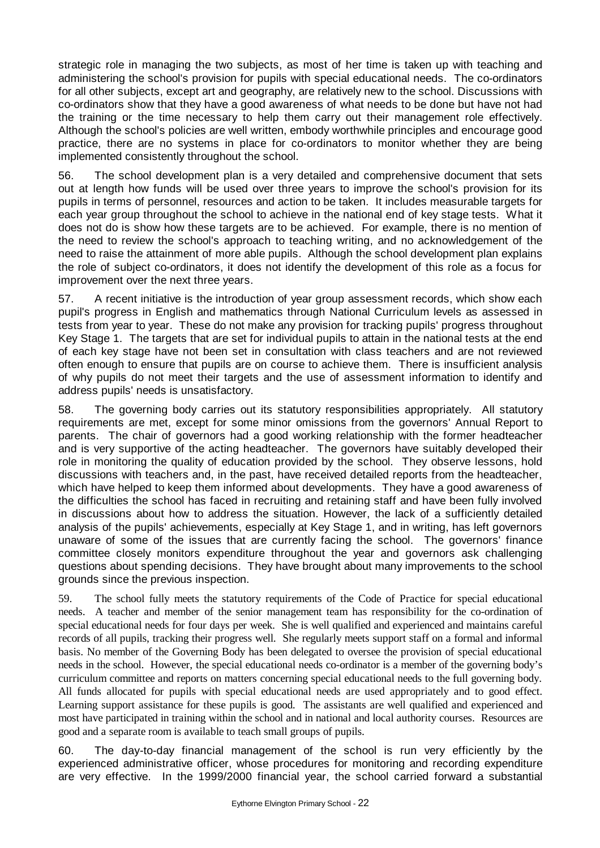strategic role in managing the two subjects, as most of her time is taken up with teaching and administering the school's provision for pupils with special educational needs. The co-ordinators for all other subjects, except art and geography, are relatively new to the school. Discussions with co-ordinators show that they have a good awareness of what needs to be done but have not had the training or the time necessary to help them carry out their management role effectively. Although the school's policies are well written, embody worthwhile principles and encourage good practice, there are no systems in place for co-ordinators to monitor whether they are being implemented consistently throughout the school.

56. The school development plan is a very detailed and comprehensive document that sets out at length how funds will be used over three years to improve the school's provision for its pupils in terms of personnel, resources and action to be taken. It includes measurable targets for each year group throughout the school to achieve in the national end of key stage tests. What it does not do is show how these targets are to be achieved. For example, there is no mention of the need to review the school's approach to teaching writing, and no acknowledgement of the need to raise the attainment of more able pupils. Although the school development plan explains the role of subject co-ordinators, it does not identify the development of this role as a focus for improvement over the next three years.

57. A recent initiative is the introduction of year group assessment records, which show each pupil's progress in English and mathematics through National Curriculum levels as assessed in tests from year to year. These do not make any provision for tracking pupils' progress throughout Key Stage 1. The targets that are set for individual pupils to attain in the national tests at the end of each key stage have not been set in consultation with class teachers and are not reviewed often enough to ensure that pupils are on course to achieve them. There is insufficient analysis of why pupils do not meet their targets and the use of assessment information to identify and address pupils' needs is unsatisfactory.

58. The governing body carries out its statutory responsibilities appropriately. All statutory requirements are met, except for some minor omissions from the governors' Annual Report to parents. The chair of governors had a good working relationship with the former headteacher and is very supportive of the acting headteacher. The governors have suitably developed their role in monitoring the quality of education provided by the school. They observe lessons, hold discussions with teachers and, in the past, have received detailed reports from the headteacher, which have helped to keep them informed about developments. They have a good awareness of the difficulties the school has faced in recruiting and retaining staff and have been fully involved in discussions about how to address the situation. However, the lack of a sufficiently detailed analysis of the pupils' achievements, especially at Key Stage 1, and in writing, has left governors unaware of some of the issues that are currently facing the school. The governors' finance committee closely monitors expenditure throughout the year and governors ask challenging questions about spending decisions. They have brought about many improvements to the school grounds since the previous inspection.

59. The school fully meets the statutory requirements of the Code of Practice for special educational needs. A teacher and member of the senior management team has responsibility for the co-ordination of special educational needs for four days per week. She is well qualified and experienced and maintains careful records of all pupils, tracking their progress well. She regularly meets support staff on a formal and informal basis. No member of the Governing Body has been delegated to oversee the provision of special educational needs in the school. However, the special educational needs co-ordinator is a member of the governing body's curriculum committee and reports on matters concerning special educational needs to the full governing body. All funds allocated for pupils with special educational needs are used appropriately and to good effect. Learning support assistance for these pupils is good. The assistants are well qualified and experienced and most have participated in training within the school and in national and local authority courses. Resources are good and a separate room is available to teach small groups of pupils.

60. The day-to-day financial management of the school is run very efficiently by the experienced administrative officer, whose procedures for monitoring and recording expenditure are very effective. In the 1999/2000 financial year, the school carried forward a substantial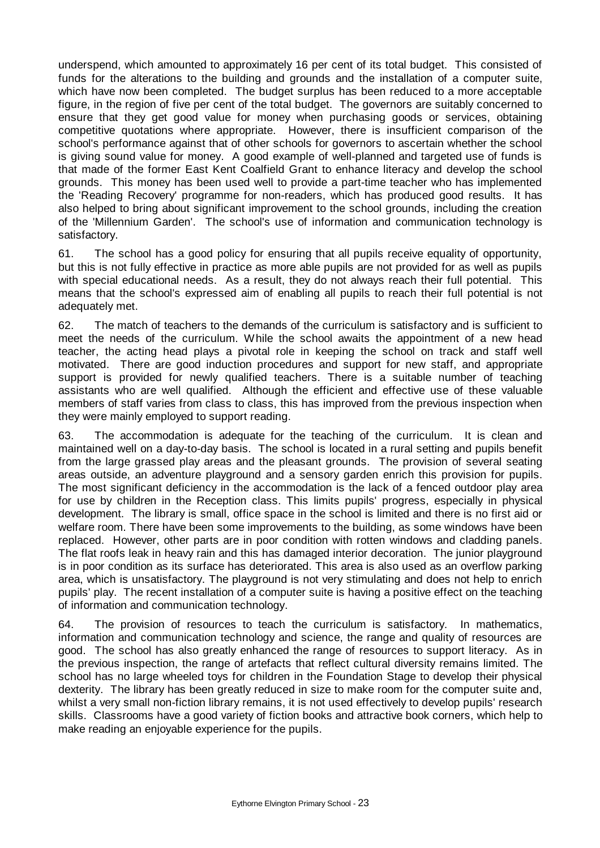underspend, which amounted to approximately 16 per cent of its total budget. This consisted of funds for the alterations to the building and grounds and the installation of a computer suite, which have now been completed. The budget surplus has been reduced to a more acceptable figure, in the region of five per cent of the total budget. The governors are suitably concerned to ensure that they get good value for money when purchasing goods or services, obtaining competitive quotations where appropriate. However, there is insufficient comparison of the school's performance against that of other schools for governors to ascertain whether the school is giving sound value for money. A good example of well-planned and targeted use of funds is that made of the former East Kent Coalfield Grant to enhance literacy and develop the school grounds. This money has been used well to provide a part-time teacher who has implemented the 'Reading Recovery' programme for non-readers, which has produced good results. It has also helped to bring about significant improvement to the school grounds, including the creation of the 'Millennium Garden'. The school's use of information and communication technology is satisfactory.

61. The school has a good policy for ensuring that all pupils receive equality of opportunity, but this is not fully effective in practice as more able pupils are not provided for as well as pupils with special educational needs. As a result, they do not always reach their full potential. This means that the school's expressed aim of enabling all pupils to reach their full potential is not adequately met.

62. The match of teachers to the demands of the curriculum is satisfactory and is sufficient to meet the needs of the curriculum. While the school awaits the appointment of a new head teacher, the acting head plays a pivotal role in keeping the school on track and staff well motivated. There are good induction procedures and support for new staff, and appropriate support is provided for newly qualified teachers. There is a suitable number of teaching assistants who are well qualified. Although the efficient and effective use of these valuable members of staff varies from class to class, this has improved from the previous inspection when they were mainly employed to support reading.

63. The accommodation is adequate for the teaching of the curriculum. It is clean and maintained well on a day-to-day basis. The school is located in a rural setting and pupils benefit from the large grassed play areas and the pleasant grounds. The provision of several seating areas outside, an adventure playground and a sensory garden enrich this provision for pupils. The most significant deficiency in the accommodation is the lack of a fenced outdoor play area for use by children in the Reception class. This limits pupils' progress, especially in physical development. The library is small, office space in the school is limited and there is no first aid or welfare room. There have been some improvements to the building, as some windows have been replaced. However, other parts are in poor condition with rotten windows and cladding panels. The flat roofs leak in heavy rain and this has damaged interior decoration. The junior playground is in poor condition as its surface has deteriorated. This area is also used as an overflow parking area, which is unsatisfactory. The playground is not very stimulating and does not help to enrich pupils' play. The recent installation of a computer suite is having a positive effect on the teaching of information and communication technology.

64. The provision of resources to teach the curriculum is satisfactory. In mathematics, information and communication technology and science, the range and quality of resources are good. The school has also greatly enhanced the range of resources to support literacy. As in the previous inspection, the range of artefacts that reflect cultural diversity remains limited. The school has no large wheeled toys for children in the Foundation Stage to develop their physical dexterity. The library has been greatly reduced in size to make room for the computer suite and, whilst a very small non-fiction library remains, it is not used effectively to develop pupils' research skills. Classrooms have a good variety of fiction books and attractive book corners, which help to make reading an enjoyable experience for the pupils.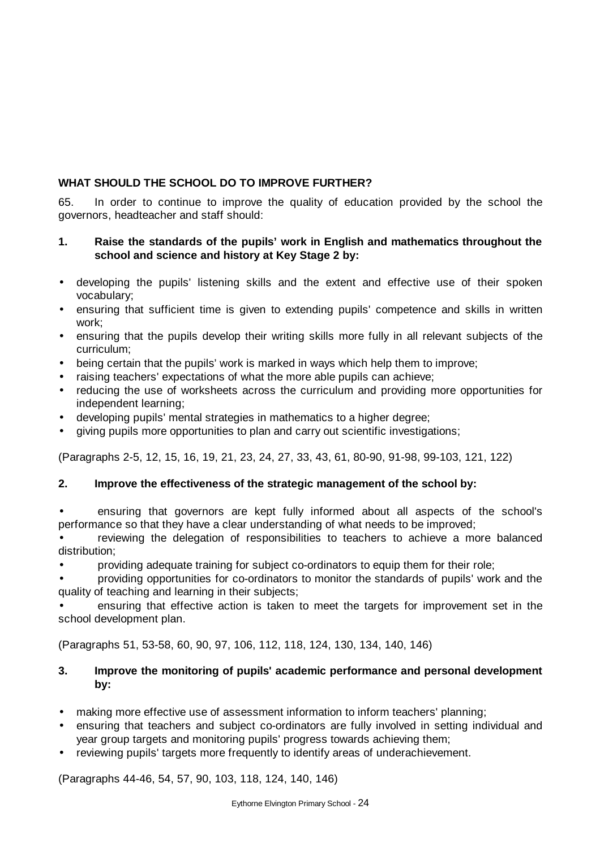# **WHAT SHOULD THE SCHOOL DO TO IMPROVE FURTHER?**

65. In order to continue to improve the quality of education provided by the school the governors, headteacher and staff should:

# **1. Raise the standards of the pupils' work in English and mathematics throughout the school and science and history at Key Stage 2 by:**

- developing the pupils' listening skills and the extent and effective use of their spoken vocabulary;
- ensuring that sufficient time is given to extending pupils' competence and skills in written work;
- ensuring that the pupils develop their writing skills more fully in all relevant subjects of the curriculum;
- being certain that the pupils' work is marked in ways which help them to improve;
- raising teachers' expectations of what the more able pupils can achieve;
- reducing the use of worksheets across the curriculum and providing more opportunities for independent learning;
- developing pupils' mental strategies in mathematics to a higher degree;
- giving pupils more opportunities to plan and carry out scientific investigations;

(Paragraphs 2-5, 12, 15, 16, 19, 21, 23, 24, 27, 33, 43, 61, 80-90, 91-98, 99-103, 121, 122)

# **2. Improve the effectiveness of the strategic management of the school by:**

• ensuring that governors are kept fully informed about all aspects of the school's performance so that they have a clear understanding of what needs to be improved;

• reviewing the delegation of responsibilities to teachers to achieve a more balanced distribution;

• providing adequate training for subject co-ordinators to equip them for their role;

• providing opportunities for co-ordinators to monitor the standards of pupils' work and the quality of teaching and learning in their subjects;

• ensuring that effective action is taken to meet the targets for improvement set in the school development plan.

(Paragraphs 51, 53-58, 60, 90, 97, 106, 112, 118, 124, 130, 134, 140, 146)

# **3. Improve the monitoring of pupils' academic performance and personal development by:**

- making more effective use of assessment information to inform teachers' planning;
- ensuring that teachers and subject co-ordinators are fully involved in setting individual and year group targets and monitoring pupils' progress towards achieving them;
- reviewing pupils' targets more frequently to identify areas of underachievement.

(Paragraphs 44-46, 54, 57, 90, 103, 118, 124, 140, 146)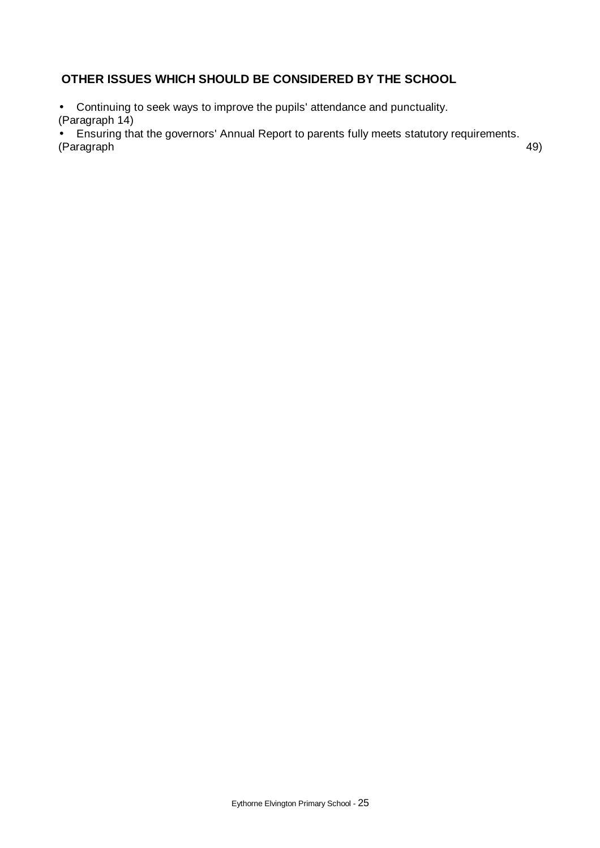# **OTHER ISSUES WHICH SHOULD BE CONSIDERED BY THE SCHOOL**

• Continuing to seek ways to improve the pupils' attendance and punctuality. (Paragraph 14)

• Ensuring that the governors' Annual Report to parents fully meets statutory requirements. (Paragraph 49)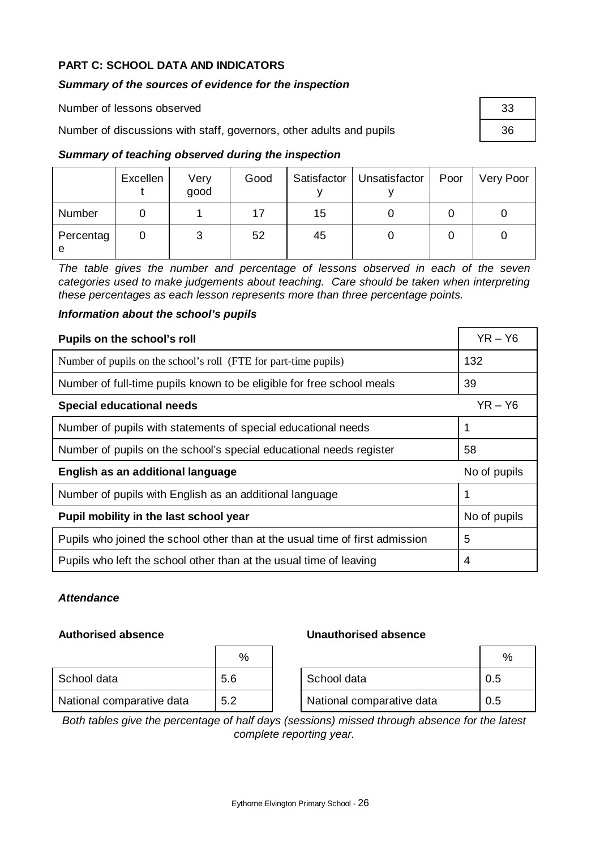# **PART C: SCHOOL DATA AND INDICATORS**

# *Summary of the sources of evidence for the inspection*

| Number of lessons observed                                           | -33 |
|----------------------------------------------------------------------|-----|
| Number of discussions with staff, governors, other adults and pupils |     |
| Summary of teaching observed during the inspection                   |     |

# *Summary of teaching observed during the inspection*

|                | Excellen | Very<br>good | Good |    | Satisfactor   Unsatisfactor | Poor | Very Poor |
|----------------|----------|--------------|------|----|-----------------------------|------|-----------|
| Number         |          |              | 17   | 15 |                             |      |           |
| Percentag<br>e |          | 3            | 52   | 45 |                             |      |           |

*The table gives the number and percentage of lessons observed in each of the seven categories used to make judgements about teaching. Care should be taken when interpreting these percentages as each lesson represents more than three percentage points.* 

## *Information about the school's pupils*

| Pupils on the school's roll                                                  | $YR - Y6$    |
|------------------------------------------------------------------------------|--------------|
| Number of pupils on the school's roll (FTE for part-time pupils)             | 132          |
| Number of full-time pupils known to be eligible for free school meals        | 39           |
| <b>Special educational needs</b>                                             | $YR - Y6$    |
| Number of pupils with statements of special educational needs                | 1            |
| Number of pupils on the school's special educational needs register          | 58           |
| English as an additional language                                            | No of pupils |
| Number of pupils with English as an additional language                      |              |
| Pupil mobility in the last school year                                       | No of pupils |
| Pupils who joined the school other than at the usual time of first admission | 5            |
| Pupils who left the school other than at the usual time of leaving           | 4            |

### *Attendance*

|                           | %   |                           |     |
|---------------------------|-----|---------------------------|-----|
| School data               | 5.6 | School data               | 0.5 |
| National comparative data | 5.2 | National comparative data | 0.5 |

# **Authorised absence Unauthorised absence**

| ℅ |                           |     |
|---|---------------------------|-----|
|   | School data               | 0.5 |
|   | National comparative data | 0.5 |

*Both tables give the percentage of half days (sessions) missed through absence for the latest complete reporting year.*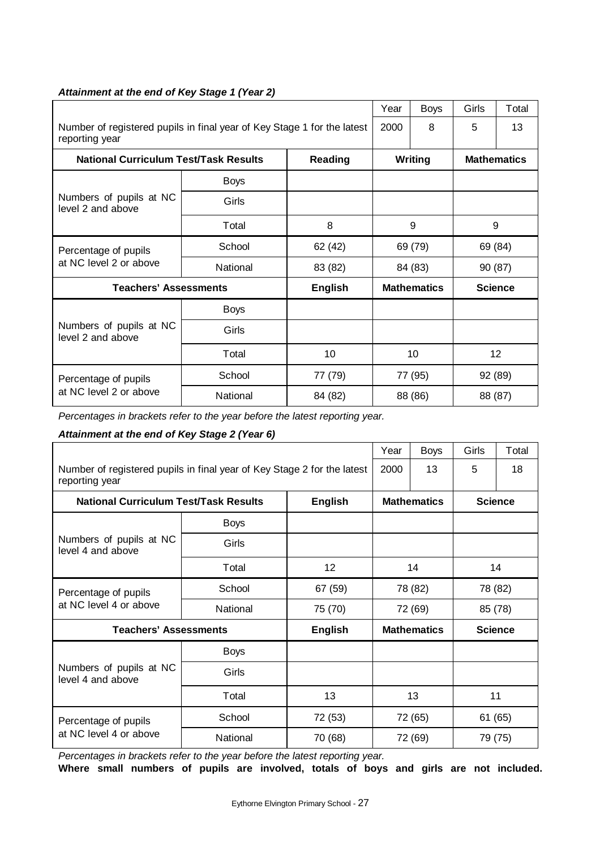|                                                                                           | Year              | <b>Boys</b>    | Girls              | Total   |                |                    |  |
|-------------------------------------------------------------------------------------------|-------------------|----------------|--------------------|---------|----------------|--------------------|--|
| Number of registered pupils in final year of Key Stage 1 for the latest<br>reporting year | 2000              | 8              | 5                  | 13      |                |                    |  |
| <b>National Curriculum Test/Task Results</b><br><b>Reading</b>                            |                   |                |                    | Writing |                | <b>Mathematics</b> |  |
|                                                                                           | <b>Boys</b>       |                |                    |         |                |                    |  |
| Numbers of pupils at NC<br>level 2 and above                                              | Girls             |                |                    |         |                |                    |  |
|                                                                                           | Total             | 8              | 9                  |         | 9              |                    |  |
| Percentage of pupils                                                                      | School            | 62 (42)        | 69 (79)            |         | 69 (84)        |                    |  |
| at NC level 2 or above                                                                    | National          | 83 (82)        | 84 (83)            |         | 90 (87)        |                    |  |
| <b>Teachers' Assessments</b>                                                              |                   | <b>English</b> | <b>Mathematics</b> |         | <b>Science</b> |                    |  |
|                                                                                           | <b>Boys</b>       |                |                    |         |                |                    |  |
| Numbers of pupils at NC<br>level 2 and above                                              | Girls             |                |                    |         |                |                    |  |
|                                                                                           | Total             | 10             | 10                 |         | 12             |                    |  |
| Percentage of pupils                                                                      | School<br>77 (79) |                | 77 (95)            |         | 92 (89)        |                    |  |
| at NC level 2 or above                                                                    | National          | 84 (82)        |                    | 88 (86) | 88 (87)        |                    |  |

### *Attainment at the end of Key Stage 1 (Year 2)*

*Percentages in brackets refer to the year before the latest reporting year.*

### *Attainment at the end of Key Stage 2 (Year 6)*

|                                                                                           |                    |                | Year           | <b>Boys</b>        | Girls   | Total          |
|-------------------------------------------------------------------------------------------|--------------------|----------------|----------------|--------------------|---------|----------------|
| Number of registered pupils in final year of Key Stage 2 for the latest<br>reporting year | 2000               | 13             | 5              | 18                 |         |                |
| <b>National Curriculum Test/Task Results</b>                                              | <b>Mathematics</b> |                | <b>Science</b> |                    |         |                |
|                                                                                           | <b>Boys</b>        |                |                |                    |         |                |
| Numbers of pupils at NC<br>level 4 and above                                              | Girls              |                |                |                    |         |                |
|                                                                                           | Total              | 12             | 14             |                    | 14      |                |
| Percentage of pupils                                                                      | School             | 67 (59)        | 78 (82)        |                    | 78 (82) |                |
| at NC level 4 or above                                                                    | National           | 75 (70)        | 72 (69)        |                    | 85 (78) |                |
| <b>Teachers' Assessments</b>                                                              |                    | <b>English</b> |                | <b>Mathematics</b> |         | <b>Science</b> |
|                                                                                           | <b>Boys</b>        |                |                |                    |         |                |
| Numbers of pupils at NC<br>level 4 and above                                              | Girls              |                |                |                    |         |                |
|                                                                                           | Total              | 13             | 13             |                    | 11      |                |
| Percentage of pupils                                                                      | School<br>72 (53)  |                | 72 (65)        |                    | 61 (65) |                |
| at NC level 4 or above                                                                    | National           | 70 (68)        |                | 72 (69)            |         | 79 (75)        |

*Percentages in brackets refer to the year before the latest reporting year.*

**Where small numbers of pupils are involved, totals of boys and girls are not included.**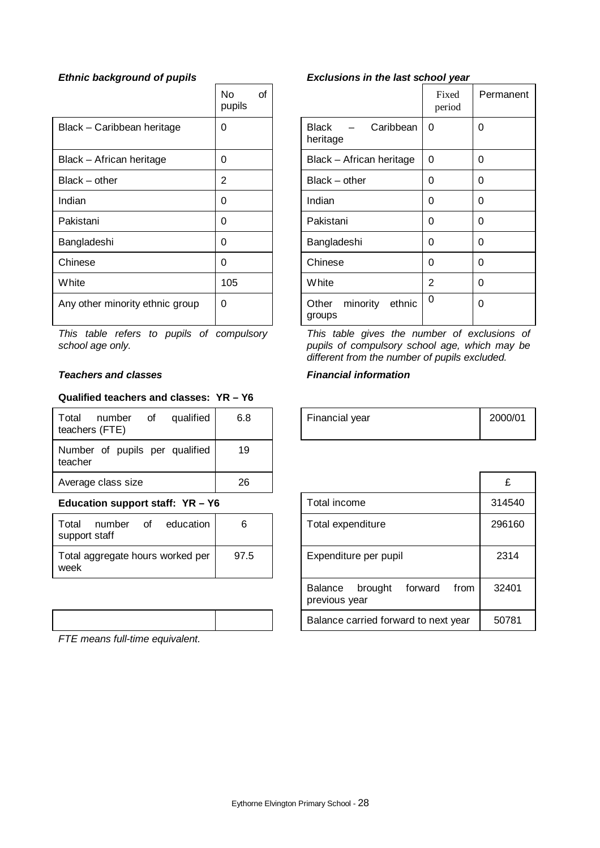|                                 | No<br>of<br>pupils |                                       | Fixed<br>period | F        |
|---------------------------------|--------------------|---------------------------------------|-----------------|----------|
| Black - Caribbean heritage      | 0                  | Caribbean<br><b>Black</b><br>heritage | 0               | $\Omega$ |
| Black - African heritage        | 0                  | Black - African heritage              | $\Omega$        | $\Omega$ |
| $Black - other$                 | 2                  | $Black - other$                       | 0               | $\Omega$ |
| Indian                          | 0                  | Indian                                | 0               | $\Omega$ |
| Pakistani                       | 0                  | Pakistani                             | 0               | $\Omega$ |
| Bangladeshi                     | $\Omega$           | Bangladeshi                           | 0               | $\Omega$ |
| Chinese                         | 0                  | Chinese                               | 0               | $\Omega$ |
| <b>White</b>                    | 105                | White                                 | 2               | $\Omega$ |
| Any other minority ethnic group | 0                  | minority<br>ethnic<br>Other<br>groups | 0               | $\Omega$ |

*This table refers to pupils of compulsory school age only.*

# **Teachers and classes** Financial information

#### **Qualified teachers and classes: YR – Y6**

| Total<br>qualified<br>οf<br>number<br>teachers (FTE) | 6.8 | Financial year | 2000 |
|------------------------------------------------------|-----|----------------|------|
| Number of pupils per qualified<br>teacher            | 19  |                |      |
| Average class size                                   | 26  |                | £    |

### **Education support staff: YR - Y6**

| support staff |  | Total number of education        | 6    |
|---------------|--|----------------------------------|------|
| week          |  | Total aggregate hours worked per | 97.5 |

*FTE means full-time equivalent.*

# *Ethnic background of pupils Exclusions in the last school year*

|                                                        | Fixed<br>period | Permanent |
|--------------------------------------------------------|-----------------|-----------|
| <b>Black</b><br>Caribbean<br>$\sim$ $\sim$<br>heritage | 0               | 0         |
| Black - African heritage                               | 0               | 0         |
| $Black - other$                                        | 0               | 0         |
| Indian                                                 | 0               | 0         |
| Pakistani                                              | 0               | 0         |
| Bangladeshi                                            | 0               | 0         |
| Chinese                                                | 0               | 0         |
| White                                                  | $\overline{2}$  | 0         |
| minority<br>ethnic<br>Other<br>groups                  | 0               | 0         |

*This table gives the number of exclusions of pupils of compulsory school age, which may be different from the number of pupils excluded.*

| 6.8 | Financial year | 2000/01 |
|-----|----------------|---------|
|     |                |         |

| 26   |                                                        | £      |
|------|--------------------------------------------------------|--------|
|      | Total income                                           | 314540 |
| 6    | Total expenditure                                      | 296160 |
| 97.5 | Expenditure per pupil                                  | 2314   |
|      | forward<br>brought<br>from<br>Balance<br>previous year | 32401  |
|      | Balance carried forward to next year                   | 50781  |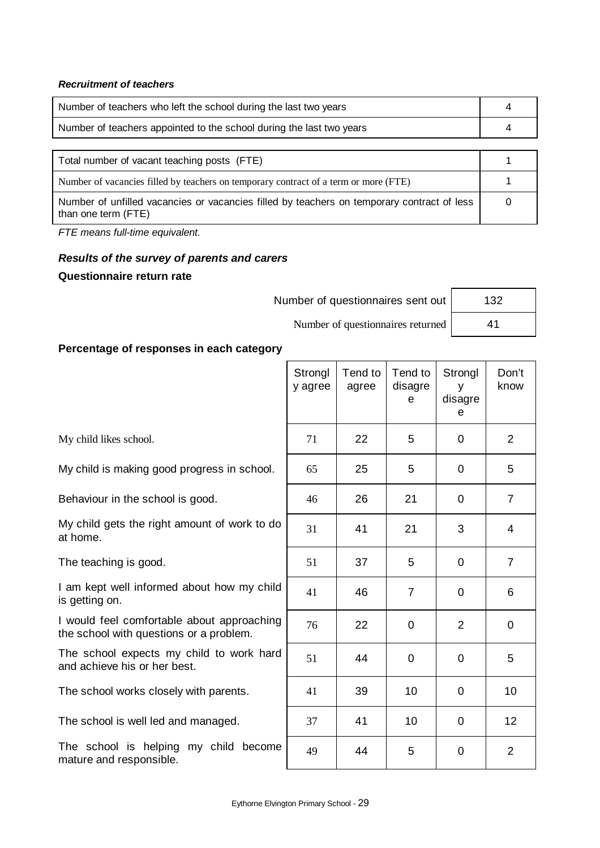# *Recruitment of teachers*

| Number of teachers who left the school during the last two years     |  |
|----------------------------------------------------------------------|--|
| Number of teachers appointed to the school during the last two years |  |

| Total number of vacant teaching posts (FTE)                                                                       |  |
|-------------------------------------------------------------------------------------------------------------------|--|
| Number of vacancies filled by teachers on temporary contract of a term or more (FTE)                              |  |
| Number of unfilled vacancies or vacancies filled by teachers on temporary contract of less<br>than one term (FTE) |  |

*FTE means full-time equivalent.*

# *Results of the survey of parents and carers* **Questionnaire return rate**

| Number of questionnaires sent out | 132 |
|-----------------------------------|-----|
| Number of questionnaires returned |     |

# **Percentage of responses in each category**

|                                                                                       | Strongl<br>y agree | Tend to<br>agree | Tend to<br>disagre<br>e | Strongl<br>٧<br>disagre<br>e | Don't<br>know  |
|---------------------------------------------------------------------------------------|--------------------|------------------|-------------------------|------------------------------|----------------|
| My child likes school.                                                                | 71                 | 22               | 5                       | 0                            | 2              |
| My child is making good progress in school.                                           | 65                 | 25               | 5                       | 0                            | 5              |
| Behaviour in the school is good.                                                      | 46                 | 26               | 21                      | 0                            | 7              |
| My child gets the right amount of work to do<br>at home.                              | 31                 | 41               | 21                      | 3                            | 4              |
| The teaching is good.                                                                 | 51                 | 37               | 5                       | 0                            | $\overline{7}$ |
| I am kept well informed about how my child<br>is getting on.                          | 41                 | 46               | $\overline{7}$          | 0                            | 6              |
| I would feel comfortable about approaching<br>the school with questions or a problem. | 76                 | 22               | $\overline{0}$          | $\overline{2}$               | $\overline{0}$ |
| The school expects my child to work hard<br>and achieve his or her best.              | 51                 | 44               | $\overline{0}$          | 0                            | 5              |
| The school works closely with parents.                                                | 41                 | 39               | 10                      | 0                            | 10             |
| The school is well led and managed.                                                   | 37                 | 41               | 10                      | 0                            | 12             |
| The school is helping my child become<br>mature and responsible.                      | 49                 | 44               | 5                       | 0                            | $\overline{2}$ |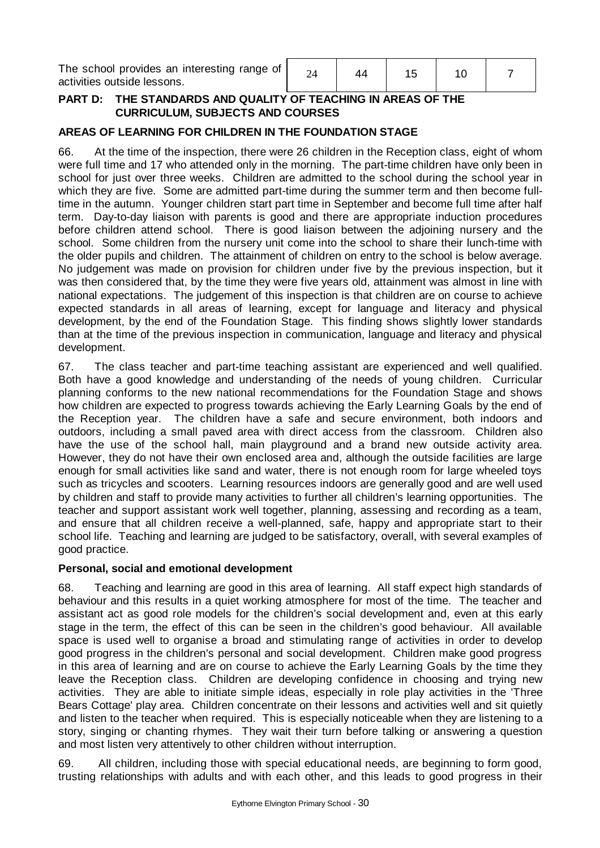| The school provides an interesting range of  <br>activities outside lessons. |  |  |  |  |  |  |
|------------------------------------------------------------------------------|--|--|--|--|--|--|
|------------------------------------------------------------------------------|--|--|--|--|--|--|

# **PART D: THE STANDARDS AND QUALITY OF TEACHING IN AREAS OF THE CURRICULUM, SUBJECTS AND COURSES**

# **AREAS OF LEARNING FOR CHILDREN IN THE FOUNDATION STAGE**

66. At the time of the inspection, there were 26 children in the Reception class, eight of whom were full time and 17 who attended only in the morning. The part-time children have only been in school for just over three weeks. Children are admitted to the school during the school year in which they are five. Some are admitted part-time during the summer term and then become fulltime in the autumn. Younger children start part time in September and become full time after half term. Day-to-day liaison with parents is good and there are appropriate induction procedures before children attend school. There is good liaison between the adjoining nursery and the school. Some children from the nursery unit come into the school to share their lunch-time with the older pupils and children. The attainment of children on entry to the school is below average. No judgement was made on provision for children under five by the previous inspection, but it was then considered that, by the time they were five years old, attainment was almost in line with national expectations. The judgement of this inspection is that children are on course to achieve expected standards in all areas of learning, except for language and literacy and physical development, by the end of the Foundation Stage. This finding shows slightly lower standards than at the time of the previous inspection in communication, language and literacy and physical development.

67. The class teacher and part-time teaching assistant are experienced and well qualified. Both have a good knowledge and understanding of the needs of young children. Curricular planning conforms to the new national recommendations for the Foundation Stage and shows how children are expected to progress towards achieving the Early Learning Goals by the end of the Reception year. The children have a safe and secure environment, both indoors and outdoors, including a small paved area with direct access from the classroom. Children also have the use of the school hall, main playground and a brand new outside activity area. However, they do not have their own enclosed area and, although the outside facilities are large enough for small activities like sand and water, there is not enough room for large wheeled toys such as tricycles and scooters. Learning resources indoors are generally good and are well used by children and staff to provide many activities to further all children's learning opportunities. The teacher and support assistant work well together, planning, assessing and recording as a team, and ensure that all children receive a well-planned, safe, happy and appropriate start to their school life. Teaching and learning are judged to be satisfactory, overall, with several examples of good practice.

### **Personal, social and emotional development**

68. Teaching and learning are good in this area of learning. All staff expect high standards of behaviour and this results in a quiet working atmosphere for most of the time. The teacher and assistant act as good role models for the children's social development and, even at this early stage in the term, the effect of this can be seen in the children's good behaviour. All available space is used well to organise a broad and stimulating range of activities in order to develop good progress in the children's personal and social development. Children make good progress in this area of learning and are on course to achieve the Early Learning Goals by the time they leave the Reception class. Children are developing confidence in choosing and trying new activities. They are able to initiate simple ideas, especially in role play activities in the 'Three Bears Cottage' play area. Children concentrate on their lessons and activities well and sit quietly and listen to the teacher when required. This is especially noticeable when they are listening to a story, singing or chanting rhymes. They wait their turn before talking or answering a question and most listen very attentively to other children without interruption.

69. All children, including those with special educational needs, are beginning to form good, trusting relationships with adults and with each other, and this leads to good progress in their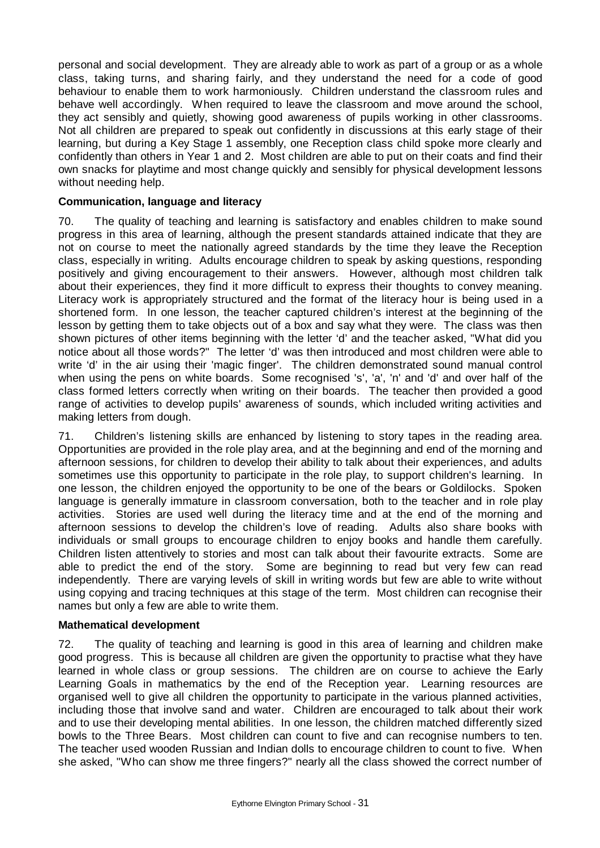personal and social development. They are already able to work as part of a group or as a whole class, taking turns, and sharing fairly, and they understand the need for a code of good behaviour to enable them to work harmoniously. Children understand the classroom rules and behave well accordingly. When required to leave the classroom and move around the school, they act sensibly and quietly, showing good awareness of pupils working in other classrooms. Not all children are prepared to speak out confidently in discussions at this early stage of their learning, but during a Key Stage 1 assembly, one Reception class child spoke more clearly and confidently than others in Year 1 and 2. Most children are able to put on their coats and find their own snacks for playtime and most change quickly and sensibly for physical development lessons without needing help.

# **Communication, language and literacy**

70. The quality of teaching and learning is satisfactory and enables children to make sound progress in this area of learning, although the present standards attained indicate that they are not on course to meet the nationally agreed standards by the time they leave the Reception class, especially in writing. Adults encourage children to speak by asking questions, responding positively and giving encouragement to their answers. However, although most children talk about their experiences, they find it more difficult to express their thoughts to convey meaning. Literacy work is appropriately structured and the format of the literacy hour is being used in a shortened form. In one lesson, the teacher captured children's interest at the beginning of the lesson by getting them to take objects out of a box and say what they were. The class was then shown pictures of other items beginning with the letter 'd' and the teacher asked, "What did you notice about all those words?" The letter 'd' was then introduced and most children were able to write 'd' in the air using their 'magic finger'. The children demonstrated sound manual control when using the pens on white boards. Some recognised 's', 'a', 'n' and 'd' and over half of the class formed letters correctly when writing on their boards. The teacher then provided a good range of activities to develop pupils' awareness of sounds, which included writing activities and making letters from dough.

71. Children's listening skills are enhanced by listening to story tapes in the reading area. Opportunities are provided in the role play area, and at the beginning and end of the morning and afternoon sessions, for children to develop their ability to talk about their experiences, and adults sometimes use this opportunity to participate in the role play, to support children's learning. In one lesson, the children enjoyed the opportunity to be one of the bears or Goldilocks. Spoken language is generally immature in classroom conversation, both to the teacher and in role play activities. Stories are used well during the literacy time and at the end of the morning and afternoon sessions to develop the children's love of reading. Adults also share books with individuals or small groups to encourage children to enjoy books and handle them carefully. Children listen attentively to stories and most can talk about their favourite extracts. Some are able to predict the end of the story. Some are beginning to read but very few can read independently. There are varying levels of skill in writing words but few are able to write without using copying and tracing techniques at this stage of the term. Most children can recognise their names but only a few are able to write them.

### **Mathematical development**

72. The quality of teaching and learning is good in this area of learning and children make good progress. This is because all children are given the opportunity to practise what they have learned in whole class or group sessions. The children are on course to achieve the Early Learning Goals in mathematics by the end of the Reception year. Learning resources are organised well to give all children the opportunity to participate in the various planned activities, including those that involve sand and water. Children are encouraged to talk about their work and to use their developing mental abilities. In one lesson, the children matched differently sized bowls to the Three Bears. Most children can count to five and can recognise numbers to ten. The teacher used wooden Russian and Indian dolls to encourage children to count to five. When she asked, "Who can show me three fingers?" nearly all the class showed the correct number of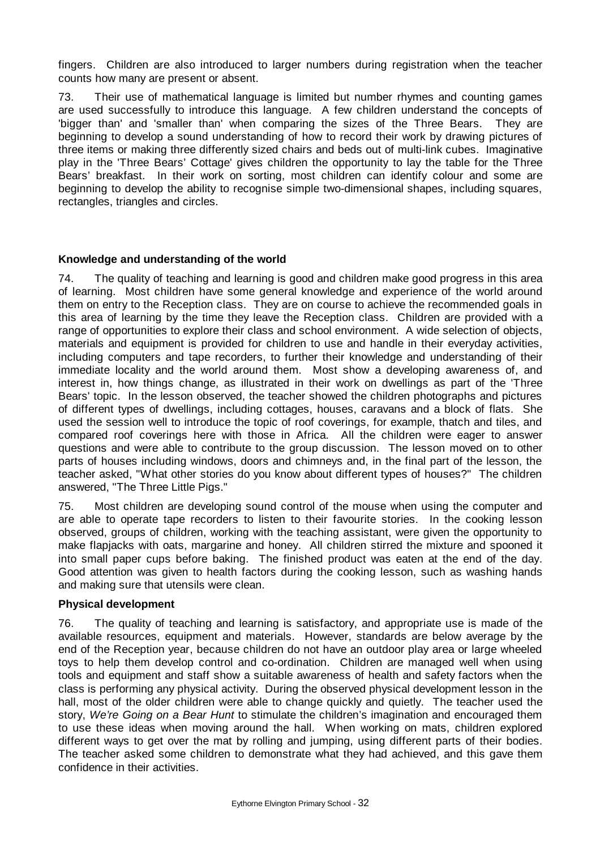fingers. Children are also introduced to larger numbers during registration when the teacher counts how many are present or absent.

73. Their use of mathematical language is limited but number rhymes and counting games are used successfully to introduce this language. A few children understand the concepts of 'bigger than' and 'smaller than' when comparing the sizes of the Three Bears. They are beginning to develop a sound understanding of how to record their work by drawing pictures of three items or making three differently sized chairs and beds out of multi-link cubes. Imaginative play in the 'Three Bears' Cottage' gives children the opportunity to lay the table for the Three Bears' breakfast. In their work on sorting, most children can identify colour and some are beginning to develop the ability to recognise simple two-dimensional shapes, including squares, rectangles, triangles and circles.

### **Knowledge and understanding of the world**

74. The quality of teaching and learning is good and children make good progress in this area of learning. Most children have some general knowledge and experience of the world around them on entry to the Reception class. They are on course to achieve the recommended goals in this area of learning by the time they leave the Reception class. Children are provided with a range of opportunities to explore their class and school environment. A wide selection of objects, materials and equipment is provided for children to use and handle in their everyday activities, including computers and tape recorders, to further their knowledge and understanding of their immediate locality and the world around them. Most show a developing awareness of, and interest in, how things change, as illustrated in their work on dwellings as part of the 'Three Bears' topic. In the lesson observed, the teacher showed the children photographs and pictures of different types of dwellings, including cottages, houses, caravans and a block of flats. She used the session well to introduce the topic of roof coverings, for example, thatch and tiles, and compared roof coverings here with those in Africa. All the children were eager to answer questions and were able to contribute to the group discussion. The lesson moved on to other parts of houses including windows, doors and chimneys and, in the final part of the lesson, the teacher asked, "What other stories do you know about different types of houses?" The children answered, "The Three Little Pigs."

75. Most children are developing sound control of the mouse when using the computer and are able to operate tape recorders to listen to their favourite stories. In the cooking lesson observed, groups of children, working with the teaching assistant, were given the opportunity to make flapjacks with oats, margarine and honey. All children stirred the mixture and spooned it into small paper cups before baking. The finished product was eaten at the end of the day. Good attention was given to health factors during the cooking lesson, such as washing hands and making sure that utensils were clean.

### **Physical development**

76. The quality of teaching and learning is satisfactory, and appropriate use is made of the available resources, equipment and materials. However, standards are below average by the end of the Reception year, because children do not have an outdoor play area or large wheeled toys to help them develop control and co-ordination. Children are managed well when using tools and equipment and staff show a suitable awareness of health and safety factors when the class is performing any physical activity. During the observed physical development lesson in the hall, most of the older children were able to change quickly and quietly. The teacher used the story, *We're Going on a Bear Hunt* to stimulate the children's imagination and encouraged them to use these ideas when moving around the hall. When working on mats, children explored different ways to get over the mat by rolling and jumping, using different parts of their bodies. The teacher asked some children to demonstrate what they had achieved, and this gave them confidence in their activities.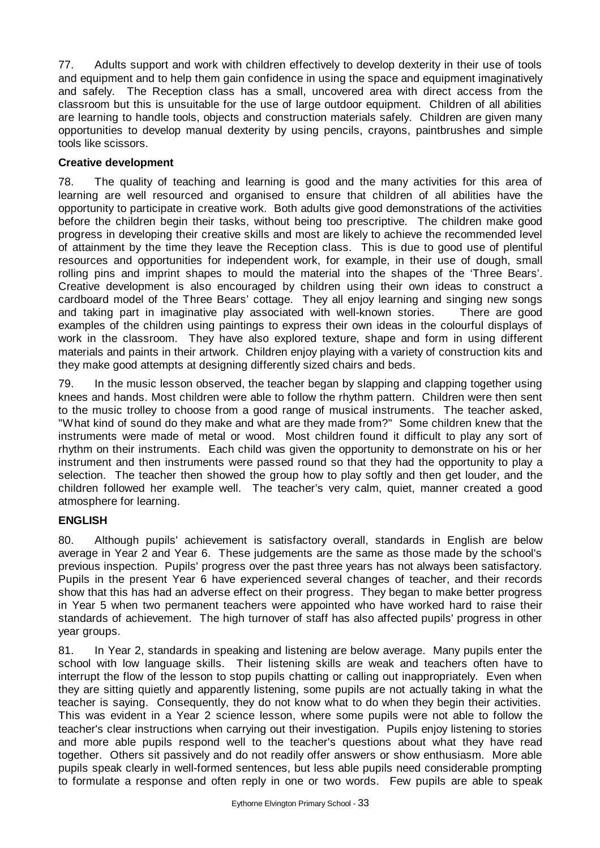77. Adults support and work with children effectively to develop dexterity in their use of tools and equipment and to help them gain confidence in using the space and equipment imaginatively and safely. The Reception class has a small, uncovered area with direct access from the classroom but this is unsuitable for the use of large outdoor equipment. Children of all abilities are learning to handle tools, objects and construction materials safely. Children are given many opportunities to develop manual dexterity by using pencils, crayons, paintbrushes and simple tools like scissors.

# **Creative development**

78. The quality of teaching and learning is good and the many activities for this area of learning are well resourced and organised to ensure that children of all abilities have the opportunity to participate in creative work. Both adults give good demonstrations of the activities before the children begin their tasks, without being too prescriptive. The children make good progress in developing their creative skills and most are likely to achieve the recommended level of attainment by the time they leave the Reception class. This is due to good use of plentiful resources and opportunities for independent work, for example, in their use of dough, small rolling pins and imprint shapes to mould the material into the shapes of the 'Three Bears'. Creative development is also encouraged by children using their own ideas to construct a cardboard model of the Three Bears' cottage. They all enjoy learning and singing new songs and taking part in imaginative play associated with well-known stories. There are good examples of the children using paintings to express their own ideas in the colourful displays of work in the classroom. They have also explored texture, shape and form in using different materials and paints in their artwork. Children enjoy playing with a variety of construction kits and they make good attempts at designing differently sized chairs and beds.

79. In the music lesson observed, the teacher began by slapping and clapping together using knees and hands. Most children were able to follow the rhythm pattern. Children were then sent to the music trolley to choose from a good range of musical instruments. The teacher asked, "What kind of sound do they make and what are they made from?" Some children knew that the instruments were made of metal or wood. Most children found it difficult to play any sort of rhythm on their instruments. Each child was given the opportunity to demonstrate on his or her instrument and then instruments were passed round so that they had the opportunity to play a selection. The teacher then showed the group how to play softly and then get louder, and the children followed her example well. The teacher's very calm, quiet, manner created a good atmosphere for learning.

### **ENGLISH**

80. Although pupils' achievement is satisfactory overall, standards in English are below average in Year 2 and Year 6. These judgements are the same as those made by the school's previous inspection. Pupils' progress over the past three years has not always been satisfactory. Pupils in the present Year 6 have experienced several changes of teacher, and their records show that this has had an adverse effect on their progress. They began to make better progress in Year 5 when two permanent teachers were appointed who have worked hard to raise their standards of achievement. The high turnover of staff has also affected pupils' progress in other year groups.

81. In Year 2, standards in speaking and listening are below average. Many pupils enter the school with low language skills. Their listening skills are weak and teachers often have to interrupt the flow of the lesson to stop pupils chatting or calling out inappropriately. Even when they are sitting quietly and apparently listening, some pupils are not actually taking in what the teacher is saying. Consequently, they do not know what to do when they begin their activities. This was evident in a Year 2 science lesson, where some pupils were not able to follow the teacher's clear instructions when carrying out their investigation. Pupils enjoy listening to stories and more able pupils respond well to the teacher's questions about what they have read together. Others sit passively and do not readily offer answers or show enthusiasm. More able pupils speak clearly in well-formed sentences, but less able pupils need considerable prompting to formulate a response and often reply in one or two words. Few pupils are able to speak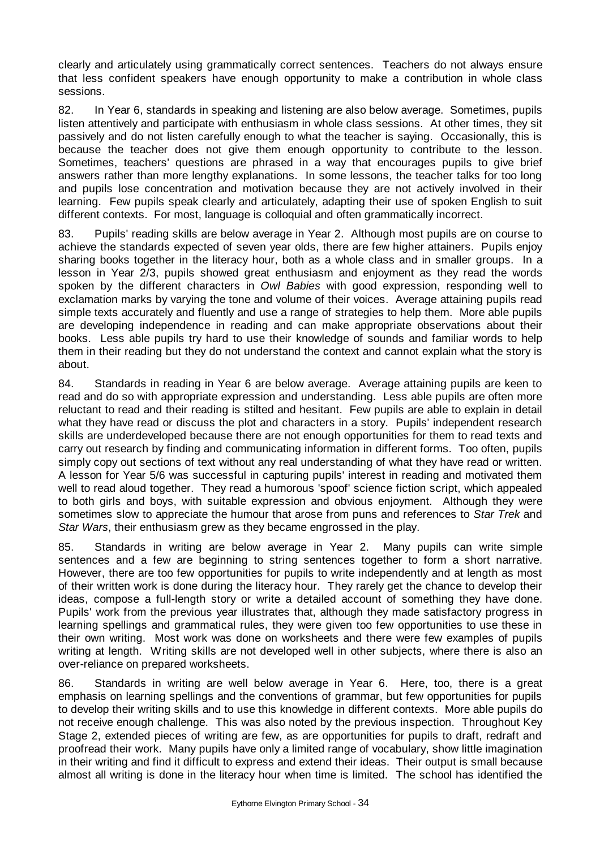clearly and articulately using grammatically correct sentences. Teachers do not always ensure that less confident speakers have enough opportunity to make a contribution in whole class sessions.

82. In Year 6, standards in speaking and listening are also below average. Sometimes, pupils listen attentively and participate with enthusiasm in whole class sessions. At other times, they sit passively and do not listen carefully enough to what the teacher is saying. Occasionally, this is because the teacher does not give them enough opportunity to contribute to the lesson. Sometimes, teachers' questions are phrased in a way that encourages pupils to give brief answers rather than more lengthy explanations. In some lessons, the teacher talks for too long and pupils lose concentration and motivation because they are not actively involved in their learning. Few pupils speak clearly and articulately, adapting their use of spoken English to suit different contexts. For most, language is colloquial and often grammatically incorrect.

83. Pupils' reading skills are below average in Year 2. Although most pupils are on course to achieve the standards expected of seven year olds, there are few higher attainers. Pupils enjoy sharing books together in the literacy hour, both as a whole class and in smaller groups. In a lesson in Year 2/3, pupils showed great enthusiasm and enjoyment as they read the words spoken by the different characters in *Owl Babies* with good expression, responding well to exclamation marks by varying the tone and volume of their voices. Average attaining pupils read simple texts accurately and fluently and use a range of strategies to help them. More able pupils are developing independence in reading and can make appropriate observations about their books. Less able pupils try hard to use their knowledge of sounds and familiar words to help them in their reading but they do not understand the context and cannot explain what the story is about.

84. Standards in reading in Year 6 are below average. Average attaining pupils are keen to read and do so with appropriate expression and understanding. Less able pupils are often more reluctant to read and their reading is stilted and hesitant. Few pupils are able to explain in detail what they have read or discuss the plot and characters in a story. Pupils' independent research skills are underdeveloped because there are not enough opportunities for them to read texts and carry out research by finding and communicating information in different forms. Too often, pupils simply copy out sections of text without any real understanding of what they have read or written. A lesson for Year 5/6 was successful in capturing pupils' interest in reading and motivated them well to read aloud together. They read a humorous 'spoof' science fiction script, which appealed to both girls and boys, with suitable expression and obvious enjoyment. Although they were sometimes slow to appreciate the humour that arose from puns and references to *Star Trek* and *Star Wars*, their enthusiasm grew as they became engrossed in the play.

85. Standards in writing are below average in Year 2. Many pupils can write simple sentences and a few are beginning to string sentences together to form a short narrative. However, there are too few opportunities for pupils to write independently and at length as most of their written work is done during the literacy hour. They rarely get the chance to develop their ideas, compose a full-length story or write a detailed account of something they have done. Pupils' work from the previous year illustrates that, although they made satisfactory progress in learning spellings and grammatical rules, they were given too few opportunities to use these in their own writing. Most work was done on worksheets and there were few examples of pupils writing at length. Writing skills are not developed well in other subjects, where there is also an over-reliance on prepared worksheets.

86. Standards in writing are well below average in Year 6. Here, too, there is a great emphasis on learning spellings and the conventions of grammar, but few opportunities for pupils to develop their writing skills and to use this knowledge in different contexts. More able pupils do not receive enough challenge. This was also noted by the previous inspection. Throughout Key Stage 2, extended pieces of writing are few, as are opportunities for pupils to draft, redraft and proofread their work. Many pupils have only a limited range of vocabulary, show little imagination in their writing and find it difficult to express and extend their ideas. Their output is small because almost all writing is done in the literacy hour when time is limited. The school has identified the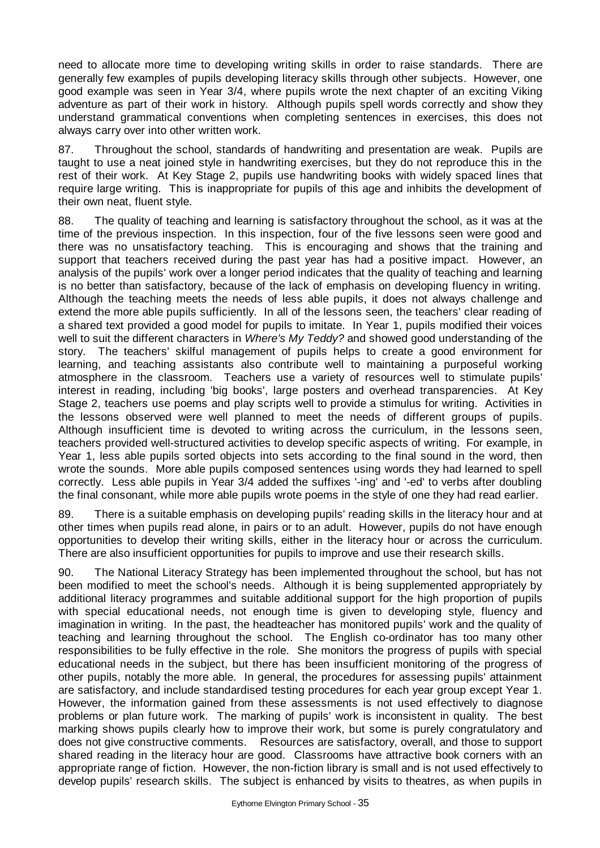need to allocate more time to developing writing skills in order to raise standards. There are generally few examples of pupils developing literacy skills through other subjects. However, one good example was seen in Year 3/4, where pupils wrote the next chapter of an exciting Viking adventure as part of their work in history. Although pupils spell words correctly and show they understand grammatical conventions when completing sentences in exercises, this does not always carry over into other written work.

87. Throughout the school, standards of handwriting and presentation are weak. Pupils are taught to use a neat joined style in handwriting exercises, but they do not reproduce this in the rest of their work. At Key Stage 2, pupils use handwriting books with widely spaced lines that require large writing. This is inappropriate for pupils of this age and inhibits the development of their own neat, fluent style.

88. The quality of teaching and learning is satisfactory throughout the school, as it was at the time of the previous inspection. In this inspection, four of the five lessons seen were good and there was no unsatisfactory teaching. This is encouraging and shows that the training and support that teachers received during the past year has had a positive impact. However, an analysis of the pupils' work over a longer period indicates that the quality of teaching and learning is no better than satisfactory, because of the lack of emphasis on developing fluency in writing. Although the teaching meets the needs of less able pupils, it does not always challenge and extend the more able pupils sufficiently. In all of the lessons seen, the teachers' clear reading of a shared text provided a good model for pupils to imitate. In Year 1, pupils modified their voices well to suit the different characters in *Where's My Teddy?* and showed good understanding of the story. The teachers' skilful management of pupils helps to create a good environment for learning, and teaching assistants also contribute well to maintaining a purposeful working atmosphere in the classroom. Teachers use a variety of resources well to stimulate pupils' interest in reading, including 'big books', large posters and overhead transparencies. At Key Stage 2, teachers use poems and play scripts well to provide a stimulus for writing. Activities in the lessons observed were well planned to meet the needs of different groups of pupils. Although insufficient time is devoted to writing across the curriculum, in the lessons seen, teachers provided well-structured activities to develop specific aspects of writing. For example, in Year 1, less able pupils sorted objects into sets according to the final sound in the word, then wrote the sounds. More able pupils composed sentences using words they had learned to spell correctly. Less able pupils in Year 3/4 added the suffixes '-ing' and '-ed' to verbs after doubling the final consonant, while more able pupils wrote poems in the style of one they had read earlier.

89. There is a suitable emphasis on developing pupils' reading skills in the literacy hour and at other times when pupils read alone, in pairs or to an adult. However, pupils do not have enough opportunities to develop their writing skills, either in the literacy hour or across the curriculum. There are also insufficient opportunities for pupils to improve and use their research skills.

90. The National Literacy Strategy has been implemented throughout the school, but has not been modified to meet the school's needs. Although it is being supplemented appropriately by additional literacy programmes and suitable additional support for the high proportion of pupils with special educational needs, not enough time is given to developing style, fluency and imagination in writing. In the past, the headteacher has monitored pupils' work and the quality of teaching and learning throughout the school. The English co-ordinator has too many other responsibilities to be fully effective in the role. She monitors the progress of pupils with special educational needs in the subject, but there has been insufficient monitoring of the progress of other pupils, notably the more able. In general, the procedures for assessing pupils' attainment are satisfactory, and include standardised testing procedures for each year group except Year 1. However, the information gained from these assessments is not used effectively to diagnose problems or plan future work. The marking of pupils' work is inconsistent in quality. The best marking shows pupils clearly how to improve their work, but some is purely congratulatory and does not give constructive comments. Resources are satisfactory, overall, and those to support shared reading in the literacy hour are good. Classrooms have attractive book corners with an appropriate range of fiction. However, the non-fiction library is small and is not used effectively to develop pupils' research skills. The subject is enhanced by visits to theatres, as when pupils in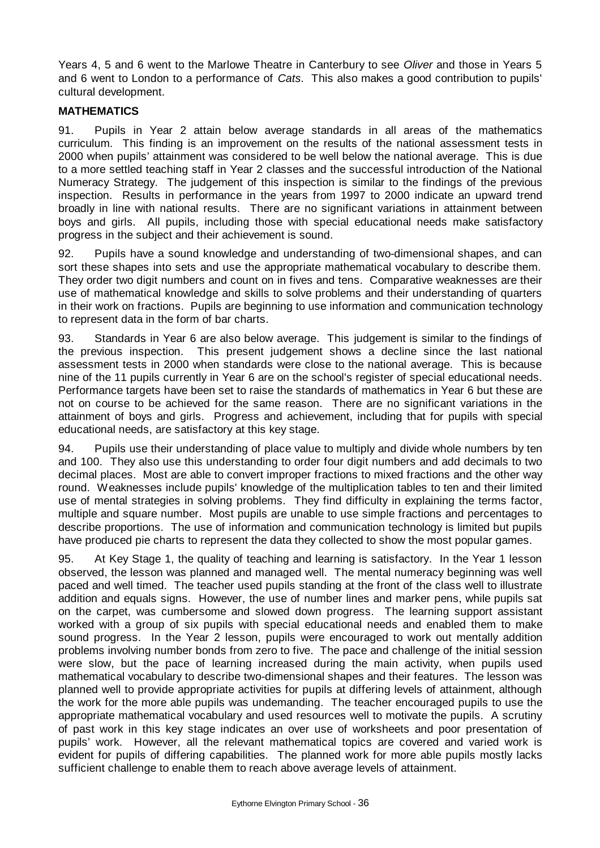Years 4, 5 and 6 went to the Marlowe Theatre in Canterbury to see *Oliver* and those in Years 5 and 6 went to London to a performance of *Cats*. This also makes a good contribution to pupils' cultural development.

# **MATHEMATICS**

91. Pupils in Year 2 attain below average standards in all areas of the mathematics curriculum. This finding is an improvement on the results of the national assessment tests in 2000 when pupils' attainment was considered to be well below the national average. This is due to a more settled teaching staff in Year 2 classes and the successful introduction of the National Numeracy Strategy. The judgement of this inspection is similar to the findings of the previous inspection. Results in performance in the years from 1997 to 2000 indicate an upward trend broadly in line with national results. There are no significant variations in attainment between boys and girls. All pupils, including those with special educational needs make satisfactory progress in the subject and their achievement is sound.

92. Pupils have a sound knowledge and understanding of two-dimensional shapes, and can sort these shapes into sets and use the appropriate mathematical vocabulary to describe them. They order two digit numbers and count on in fives and tens. Comparative weaknesses are their use of mathematical knowledge and skills to solve problems and their understanding of quarters in their work on fractions. Pupils are beginning to use information and communication technology to represent data in the form of bar charts.

93. Standards in Year 6 are also below average. This judgement is similar to the findings of the previous inspection. This present judgement shows a decline since the last national assessment tests in 2000 when standards were close to the national average. This is because nine of the 11 pupils currently in Year 6 are on the school's register of special educational needs. Performance targets have been set to raise the standards of mathematics in Year 6 but these are not on course to be achieved for the same reason. There are no significant variations in the attainment of boys and girls. Progress and achievement, including that for pupils with special educational needs, are satisfactory at this key stage.

94. Pupils use their understanding of place value to multiply and divide whole numbers by ten and 100. They also use this understanding to order four digit numbers and add decimals to two decimal places. Most are able to convert improper fractions to mixed fractions and the other way round. Weaknesses include pupils' knowledge of the multiplication tables to ten and their limited use of mental strategies in solving problems. They find difficulty in explaining the terms factor, multiple and square number. Most pupils are unable to use simple fractions and percentages to describe proportions. The use of information and communication technology is limited but pupils have produced pie charts to represent the data they collected to show the most popular games.

95. At Key Stage 1, the quality of teaching and learning is satisfactory. In the Year 1 lesson observed, the lesson was planned and managed well. The mental numeracy beginning was well paced and well timed. The teacher used pupils standing at the front of the class well to illustrate addition and equals signs. However, the use of number lines and marker pens, while pupils sat on the carpet, was cumbersome and slowed down progress. The learning support assistant worked with a group of six pupils with special educational needs and enabled them to make sound progress. In the Year 2 lesson, pupils were encouraged to work out mentally addition problems involving number bonds from zero to five. The pace and challenge of the initial session were slow, but the pace of learning increased during the main activity, when pupils used mathematical vocabulary to describe two-dimensional shapes and their features. The lesson was planned well to provide appropriate activities for pupils at differing levels of attainment, although the work for the more able pupils was undemanding. The teacher encouraged pupils to use the appropriate mathematical vocabulary and used resources well to motivate the pupils. A scrutiny of past work in this key stage indicates an over use of worksheets and poor presentation of pupils' work. However, all the relevant mathematical topics are covered and varied work is evident for pupils of differing capabilities. The planned work for more able pupils mostly lacks sufficient challenge to enable them to reach above average levels of attainment.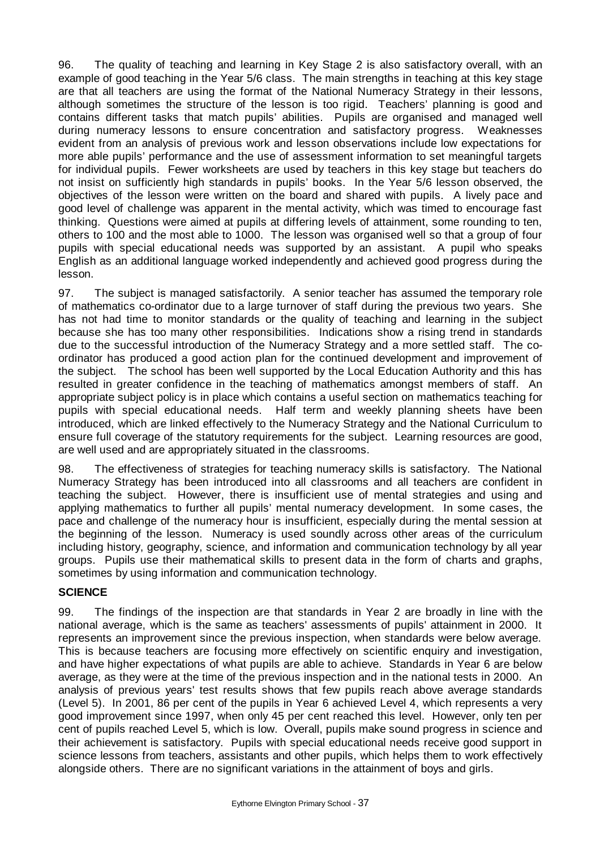96. The quality of teaching and learning in Key Stage 2 is also satisfactory overall, with an example of good teaching in the Year 5/6 class. The main strengths in teaching at this key stage are that all teachers are using the format of the National Numeracy Strategy in their lessons, although sometimes the structure of the lesson is too rigid. Teachers' planning is good and contains different tasks that match pupils' abilities. Pupils are organised and managed well during numeracy lessons to ensure concentration and satisfactory progress. Weaknesses evident from an analysis of previous work and lesson observations include low expectations for more able pupils' performance and the use of assessment information to set meaningful targets for individual pupils. Fewer worksheets are used by teachers in this key stage but teachers do not insist on sufficiently high standards in pupils' books. In the Year 5/6 lesson observed, the objectives of the lesson were written on the board and shared with pupils. A lively pace and good level of challenge was apparent in the mental activity, which was timed to encourage fast thinking. Questions were aimed at pupils at differing levels of attainment, some rounding to ten, others to 100 and the most able to 1000. The lesson was organised well so that a group of four pupils with special educational needs was supported by an assistant. A pupil who speaks English as an additional language worked independently and achieved good progress during the lesson.

97. The subject is managed satisfactorily. A senior teacher has assumed the temporary role of mathematics co-ordinator due to a large turnover of staff during the previous two years. She has not had time to monitor standards or the quality of teaching and learning in the subject because she has too many other responsibilities. Indications show a rising trend in standards due to the successful introduction of the Numeracy Strategy and a more settled staff. The coordinator has produced a good action plan for the continued development and improvement of the subject. The school has been well supported by the Local Education Authority and this has resulted in greater confidence in the teaching of mathematics amongst members of staff. An appropriate subject policy is in place which contains a useful section on mathematics teaching for pupils with special educational needs. Half term and weekly planning sheets have been introduced, which are linked effectively to the Numeracy Strategy and the National Curriculum to ensure full coverage of the statutory requirements for the subject. Learning resources are good, are well used and are appropriately situated in the classrooms.

98. The effectiveness of strategies for teaching numeracy skills is satisfactory. The National Numeracy Strategy has been introduced into all classrooms and all teachers are confident in teaching the subject. However, there is insufficient use of mental strategies and using and applying mathematics to further all pupils' mental numeracy development. In some cases, the pace and challenge of the numeracy hour is insufficient, especially during the mental session at the beginning of the lesson. Numeracy is used soundly across other areas of the curriculum including history, geography, science, and information and communication technology by all year groups. Pupils use their mathematical skills to present data in the form of charts and graphs, sometimes by using information and communication technology.

### **SCIENCE**

99. The findings of the inspection are that standards in Year 2 are broadly in line with the national average, which is the same as teachers' assessments of pupils' attainment in 2000. It represents an improvement since the previous inspection, when standards were below average. This is because teachers are focusing more effectively on scientific enquiry and investigation, and have higher expectations of what pupils are able to achieve. Standards in Year 6 are below average, as they were at the time of the previous inspection and in the national tests in 2000. An analysis of previous years' test results shows that few pupils reach above average standards (Level 5). In 2001, 86 per cent of the pupils in Year 6 achieved Level 4, which represents a very good improvement since 1997, when only 45 per cent reached this level. However, only ten per cent of pupils reached Level 5, which is low. Overall, pupils make sound progress in science and their achievement is satisfactory. Pupils with special educational needs receive good support in science lessons from teachers, assistants and other pupils, which helps them to work effectively alongside others. There are no significant variations in the attainment of boys and girls.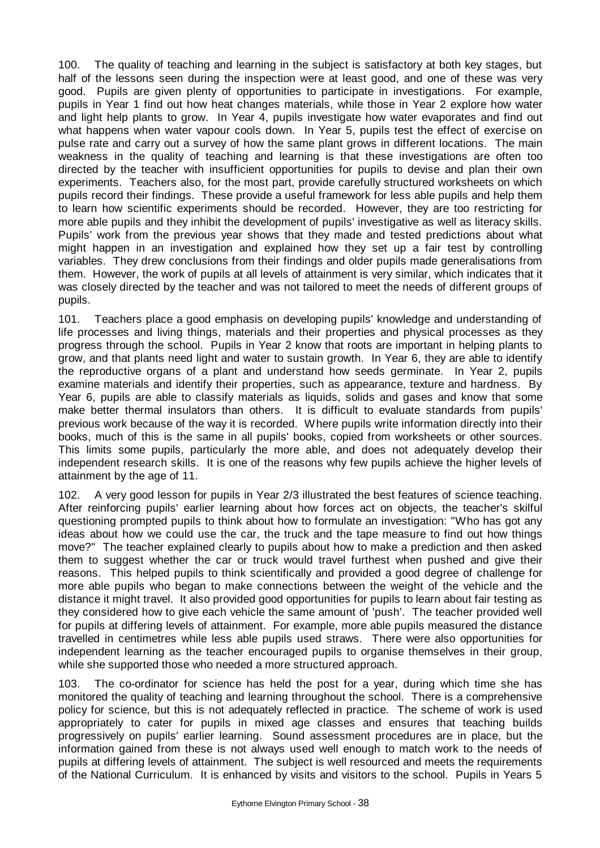100. The quality of teaching and learning in the subject is satisfactory at both key stages, but half of the lessons seen during the inspection were at least good, and one of these was very good. Pupils are given plenty of opportunities to participate in investigations. For example, pupils in Year 1 find out how heat changes materials, while those in Year 2 explore how water and light help plants to grow. In Year 4, pupils investigate how water evaporates and find out what happens when water vapour cools down. In Year 5, pupils test the effect of exercise on pulse rate and carry out a survey of how the same plant grows in different locations. The main weakness in the quality of teaching and learning is that these investigations are often too directed by the teacher with insufficient opportunities for pupils to devise and plan their own experiments. Teachers also, for the most part, provide carefully structured worksheets on which pupils record their findings. These provide a useful framework for less able pupils and help them to learn how scientific experiments should be recorded. However, they are too restricting for more able pupils and they inhibit the development of pupils' investigative as well as literacy skills. Pupils' work from the previous year shows that they made and tested predictions about what might happen in an investigation and explained how they set up a fair test by controlling variables. They drew conclusions from their findings and older pupils made generalisations from them. However, the work of pupils at all levels of attainment is very similar, which indicates that it was closely directed by the teacher and was not tailored to meet the needs of different groups of pupils.

101. Teachers place a good emphasis on developing pupils' knowledge and understanding of life processes and living things, materials and their properties and physical processes as they progress through the school. Pupils in Year 2 know that roots are important in helping plants to grow, and that plants need light and water to sustain growth. In Year 6, they are able to identify the reproductive organs of a plant and understand how seeds germinate. In Year 2, pupils examine materials and identify their properties, such as appearance, texture and hardness. By Year 6, pupils are able to classify materials as liquids, solids and gases and know that some make better thermal insulators than others. It is difficult to evaluate standards from pupils' previous work because of the way it is recorded. Where pupils write information directly into their books, much of this is the same in all pupils' books, copied from worksheets or other sources. This limits some pupils, particularly the more able, and does not adequately develop their independent research skills. It is one of the reasons why few pupils achieve the higher levels of attainment by the age of 11.

102. A very good lesson for pupils in Year 2/3 illustrated the best features of science teaching. After reinforcing pupils' earlier learning about how forces act on objects, the teacher's skilful questioning prompted pupils to think about how to formulate an investigation: "Who has got any ideas about how we could use the car, the truck and the tape measure to find out how things move?" The teacher explained clearly to pupils about how to make a prediction and then asked them to suggest whether the car or truck would travel furthest when pushed and give their reasons. This helped pupils to think scientifically and provided a good degree of challenge for more able pupils who began to make connections between the weight of the vehicle and the distance it might travel. It also provided good opportunities for pupils to learn about fair testing as they considered how to give each vehicle the same amount of 'push'. The teacher provided well for pupils at differing levels of attainment. For example, more able pupils measured the distance travelled in centimetres while less able pupils used straws. There were also opportunities for independent learning as the teacher encouraged pupils to organise themselves in their group, while she supported those who needed a more structured approach.

103. The co-ordinator for science has held the post for a year, during which time she has monitored the quality of teaching and learning throughout the school. There is a comprehensive policy for science, but this is not adequately reflected in practice. The scheme of work is used appropriately to cater for pupils in mixed age classes and ensures that teaching builds progressively on pupils' earlier learning. Sound assessment procedures are in place, but the information gained from these is not always used well enough to match work to the needs of pupils at differing levels of attainment. The subject is well resourced and meets the requirements of the National Curriculum. It is enhanced by visits and visitors to the school. Pupils in Years 5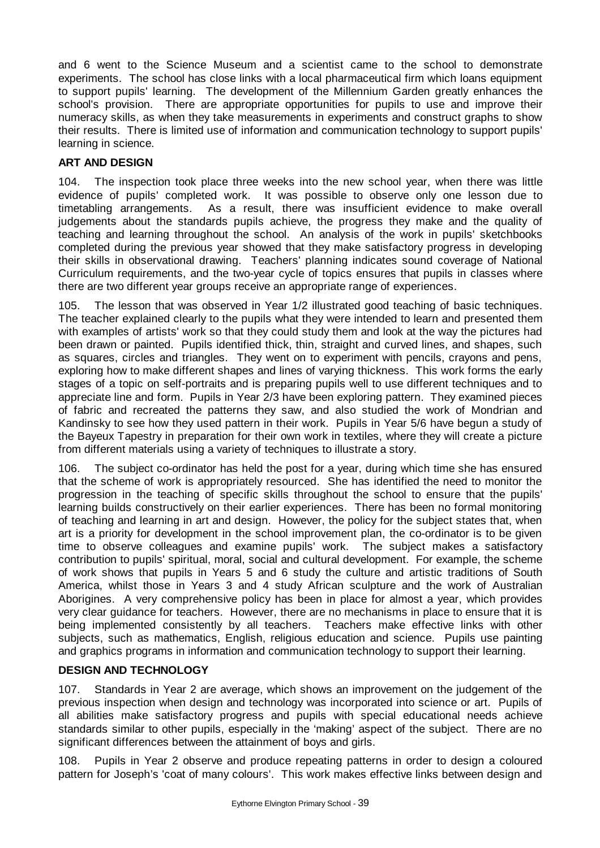and 6 went to the Science Museum and a scientist came to the school to demonstrate experiments. The school has close links with a local pharmaceutical firm which loans equipment to support pupils' learning. The development of the Millennium Garden greatly enhances the school's provision. There are appropriate opportunities for pupils to use and improve their numeracy skills, as when they take measurements in experiments and construct graphs to show their results. There is limited use of information and communication technology to support pupils' learning in science.

# **ART AND DESIGN**

104. The inspection took place three weeks into the new school year, when there was little evidence of pupils' completed work. It was possible to observe only one lesson due to timetabling arrangements. As a result, there was insufficient evidence to make overall judgements about the standards pupils achieve, the progress they make and the quality of teaching and learning throughout the school. An analysis of the work in pupils' sketchbooks completed during the previous year showed that they make satisfactory progress in developing their skills in observational drawing. Teachers' planning indicates sound coverage of National Curriculum requirements, and the two-year cycle of topics ensures that pupils in classes where there are two different year groups receive an appropriate range of experiences.

105. The lesson that was observed in Year 1/2 illustrated good teaching of basic techniques. The teacher explained clearly to the pupils what they were intended to learn and presented them with examples of artists' work so that they could study them and look at the way the pictures had been drawn or painted. Pupils identified thick, thin, straight and curved lines, and shapes, such as squares, circles and triangles. They went on to experiment with pencils, crayons and pens, exploring how to make different shapes and lines of varying thickness. This work forms the early stages of a topic on self-portraits and is preparing pupils well to use different techniques and to appreciate line and form. Pupils in Year 2/3 have been exploring pattern. They examined pieces of fabric and recreated the patterns they saw, and also studied the work of Mondrian and Kandinsky to see how they used pattern in their work. Pupils in Year 5/6 have begun a study of the Bayeux Tapestry in preparation for their own work in textiles, where they will create a picture from different materials using a variety of techniques to illustrate a story.

106. The subject co-ordinator has held the post for a year, during which time she has ensured that the scheme of work is appropriately resourced. She has identified the need to monitor the progression in the teaching of specific skills throughout the school to ensure that the pupils' learning builds constructively on their earlier experiences. There has been no formal monitoring of teaching and learning in art and design. However, the policy for the subject states that, when art is a priority for development in the school improvement plan, the co-ordinator is to be given time to observe colleagues and examine pupils' work. The subject makes a satisfactory contribution to pupils' spiritual, moral, social and cultural development. For example, the scheme of work shows that pupils in Years 5 and 6 study the culture and artistic traditions of South America, whilst those in Years 3 and 4 study African sculpture and the work of Australian Aborigines. A very comprehensive policy has been in place for almost a year, which provides very clear guidance for teachers. However, there are no mechanisms in place to ensure that it is being implemented consistently by all teachers. Teachers make effective links with other subjects, such as mathematics, English, religious education and science. Pupils use painting and graphics programs in information and communication technology to support their learning.

### **DESIGN AND TECHNOLOGY**

107. Standards in Year 2 are average, which shows an improvement on the judgement of the previous inspection when design and technology was incorporated into science or art. Pupils of all abilities make satisfactory progress and pupils with special educational needs achieve standards similar to other pupils, especially in the 'making' aspect of the subject. There are no significant differences between the attainment of boys and girls.

108. Pupils in Year 2 observe and produce repeating patterns in order to design a coloured pattern for Joseph's 'coat of many colours'. This work makes effective links between design and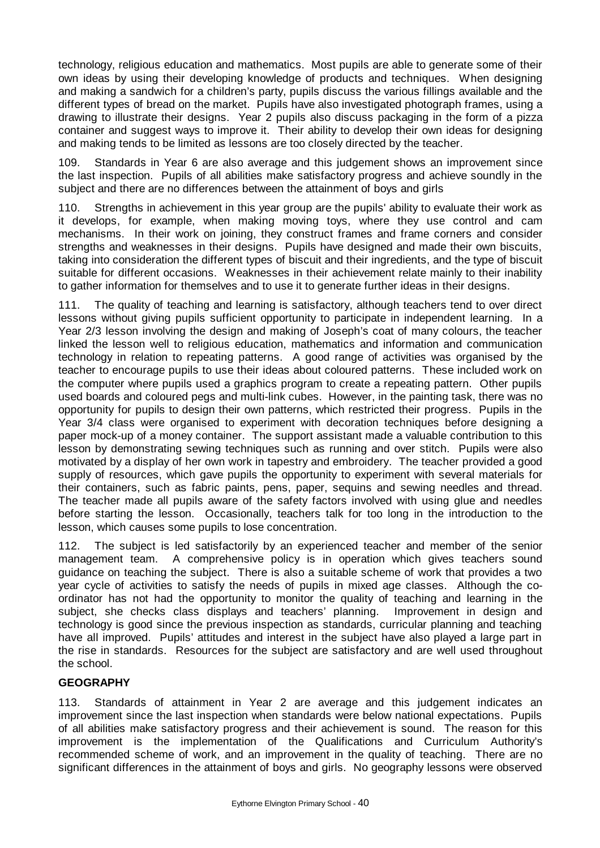technology, religious education and mathematics. Most pupils are able to generate some of their own ideas by using their developing knowledge of products and techniques. When designing and making a sandwich for a children's party, pupils discuss the various fillings available and the different types of bread on the market. Pupils have also investigated photograph frames, using a drawing to illustrate their designs. Year 2 pupils also discuss packaging in the form of a pizza container and suggest ways to improve it. Their ability to develop their own ideas for designing and making tends to be limited as lessons are too closely directed by the teacher.

109. Standards in Year 6 are also average and this judgement shows an improvement since the last inspection. Pupils of all abilities make satisfactory progress and achieve soundly in the subject and there are no differences between the attainment of boys and girls

110. Strengths in achievement in this year group are the pupils' ability to evaluate their work as it develops, for example, when making moving toys, where they use control and cam mechanisms. In their work on joining, they construct frames and frame corners and consider strengths and weaknesses in their designs. Pupils have designed and made their own biscuits, taking into consideration the different types of biscuit and their ingredients, and the type of biscuit suitable for different occasions. Weaknesses in their achievement relate mainly to their inability to gather information for themselves and to use it to generate further ideas in their designs.

111. The quality of teaching and learning is satisfactory, although teachers tend to over direct lessons without giving pupils sufficient opportunity to participate in independent learning. In a Year 2/3 lesson involving the design and making of Joseph's coat of many colours, the teacher linked the lesson well to religious education, mathematics and information and communication technology in relation to repeating patterns. A good range of activities was organised by the teacher to encourage pupils to use their ideas about coloured patterns. These included work on the computer where pupils used a graphics program to create a repeating pattern. Other pupils used boards and coloured pegs and multi-link cubes. However, in the painting task, there was no opportunity for pupils to design their own patterns, which restricted their progress. Pupils in the Year 3/4 class were organised to experiment with decoration techniques before designing a paper mock-up of a money container. The support assistant made a valuable contribution to this lesson by demonstrating sewing techniques such as running and over stitch. Pupils were also motivated by a display of her own work in tapestry and embroidery. The teacher provided a good supply of resources, which gave pupils the opportunity to experiment with several materials for their containers, such as fabric paints, pens, paper, sequins and sewing needles and thread. The teacher made all pupils aware of the safety factors involved with using glue and needles before starting the lesson. Occasionally, teachers talk for too long in the introduction to the lesson, which causes some pupils to lose concentration.

112. The subject is led satisfactorily by an experienced teacher and member of the senior management team. A comprehensive policy is in operation which gives teachers sound guidance on teaching the subject. There is also a suitable scheme of work that provides a two year cycle of activities to satisfy the needs of pupils in mixed age classes. Although the coordinator has not had the opportunity to monitor the quality of teaching and learning in the subject, she checks class displays and teachers' planning. Improvement in design and technology is good since the previous inspection as standards, curricular planning and teaching have all improved. Pupils' attitudes and interest in the subject have also played a large part in the rise in standards. Resources for the subject are satisfactory and are well used throughout the school.

### **GEOGRAPHY**

113. Standards of attainment in Year 2 are average and this judgement indicates an improvement since the last inspection when standards were below national expectations. Pupils of all abilities make satisfactory progress and their achievement is sound. The reason for this improvement is the implementation of the Qualifications and Curriculum Authority's recommended scheme of work, and an improvement in the quality of teaching. There are no significant differences in the attainment of boys and girls. No geography lessons were observed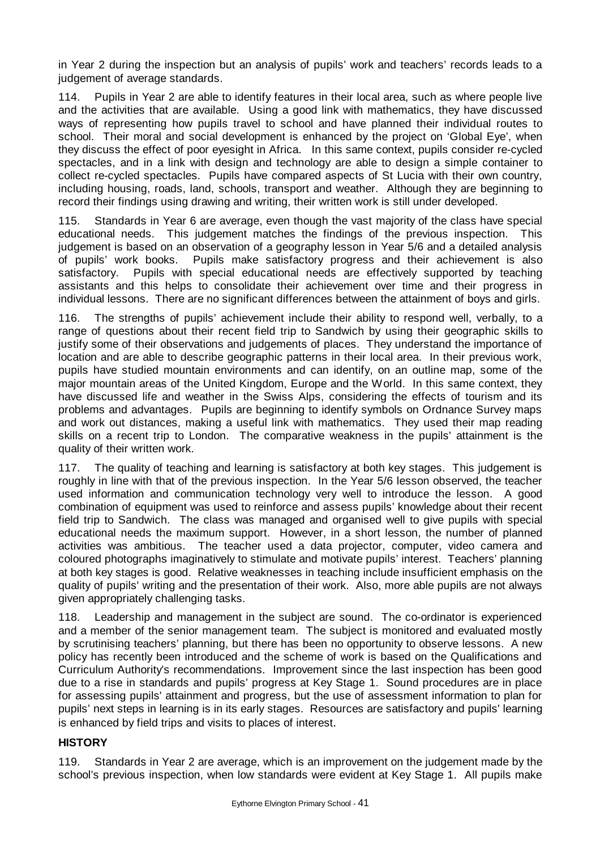in Year 2 during the inspection but an analysis of pupils' work and teachers' records leads to a judgement of average standards.

114. Pupils in Year 2 are able to identify features in their local area, such as where people live and the activities that are available. Using a good link with mathematics, they have discussed ways of representing how pupils travel to school and have planned their individual routes to school. Their moral and social development is enhanced by the project on 'Global Eye', when they discuss the effect of poor eyesight in Africa. In this same context, pupils consider re-cycled spectacles, and in a link with design and technology are able to design a simple container to collect re-cycled spectacles. Pupils have compared aspects of St Lucia with their own country, including housing, roads, land, schools, transport and weather. Although they are beginning to record their findings using drawing and writing, their written work is still under developed.

115. Standards in Year 6 are average, even though the vast majority of the class have special educational needs. This judgement matches the findings of the previous inspection. This judgement is based on an observation of a geography lesson in Year 5/6 and a detailed analysis of pupils' work books. Pupils make satisfactory progress and their achievement is also satisfactory. Pupils with special educational needs are effectively supported by teaching assistants and this helps to consolidate their achievement over time and their progress in individual lessons. There are no significant differences between the attainment of boys and girls.

116. The strengths of pupils' achievement include their ability to respond well, verbally, to a range of questions about their recent field trip to Sandwich by using their geographic skills to justify some of their observations and judgements of places. They understand the importance of location and are able to describe geographic patterns in their local area. In their previous work, pupils have studied mountain environments and can identify, on an outline map, some of the major mountain areas of the United Kingdom, Europe and the World. In this same context, they have discussed life and weather in the Swiss Alps, considering the effects of tourism and its problems and advantages. Pupils are beginning to identify symbols on Ordnance Survey maps and work out distances, making a useful link with mathematics. They used their map reading skills on a recent trip to London. The comparative weakness in the pupils' attainment is the quality of their written work.

117. The quality of teaching and learning is satisfactory at both key stages. This judgement is roughly in line with that of the previous inspection. In the Year 5/6 lesson observed, the teacher used information and communication technology very well to introduce the lesson. A good combination of equipment was used to reinforce and assess pupils' knowledge about their recent field trip to Sandwich. The class was managed and organised well to give pupils with special educational needs the maximum support. However, in a short lesson, the number of planned activities was ambitious. The teacher used a data projector, computer, video camera and coloured photographs imaginatively to stimulate and motivate pupils' interest. Teachers' planning at both key stages is good. Relative weaknesses in teaching include insufficient emphasis on the quality of pupils' writing and the presentation of their work. Also, more able pupils are not always given appropriately challenging tasks.

118. Leadership and management in the subject are sound. The co-ordinator is experienced and a member of the senior management team. The subject is monitored and evaluated mostly by scrutinising teachers' planning, but there has been no opportunity to observe lessons. A new policy has recently been introduced and the scheme of work is based on the Qualifications and Curriculum Authority's recommendations. Improvement since the last inspection has been good due to a rise in standards and pupils' progress at Key Stage 1. Sound procedures are in place for assessing pupils' attainment and progress, but the use of assessment information to plan for pupils' next steps in learning is in its early stages. Resources are satisfactory and pupils' learning is enhanced by field trips and visits to places of interest.

### **HISTORY**

119. Standards in Year 2 are average, which is an improvement on the judgement made by the school's previous inspection, when low standards were evident at Key Stage 1. All pupils make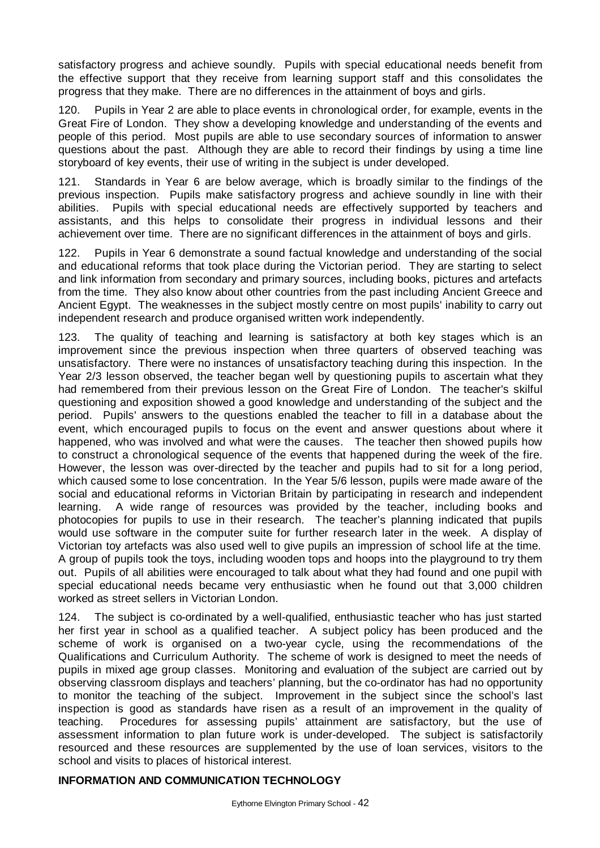satisfactory progress and achieve soundly. Pupils with special educational needs benefit from the effective support that they receive from learning support staff and this consolidates the progress that they make. There are no differences in the attainment of boys and girls.

Pupils in Year 2 are able to place events in chronological order, for example, events in the Great Fire of London. They show a developing knowledge and understanding of the events and people of this period. Most pupils are able to use secondary sources of information to answer questions about the past. Although they are able to record their findings by using a time line storyboard of key events, their use of writing in the subject is under developed.

121. Standards in Year 6 are below average, which is broadly similar to the findings of the previous inspection. Pupils make satisfactory progress and achieve soundly in line with their abilities. Pupils with special educational needs are effectively supported by teachers and assistants, and this helps to consolidate their progress in individual lessons and their achievement over time. There are no significant differences in the attainment of boys and girls.

122. Pupils in Year 6 demonstrate a sound factual knowledge and understanding of the social and educational reforms that took place during the Victorian period. They are starting to select and link information from secondary and primary sources, including books, pictures and artefacts from the time. They also know about other countries from the past including Ancient Greece and Ancient Egypt. The weaknesses in the subject mostly centre on most pupils' inability to carry out independent research and produce organised written work independently.

123. The quality of teaching and learning is satisfactory at both key stages which is an improvement since the previous inspection when three quarters of observed teaching was unsatisfactory. There were no instances of unsatisfactory teaching during this inspection. In the Year 2/3 lesson observed, the teacher began well by questioning pupils to ascertain what they had remembered from their previous lesson on the Great Fire of London. The teacher's skilful questioning and exposition showed a good knowledge and understanding of the subject and the period. Pupils' answers to the questions enabled the teacher to fill in a database about the event, which encouraged pupils to focus on the event and answer questions about where it happened, who was involved and what were the causes. The teacher then showed pupils how to construct a chronological sequence of the events that happened during the week of the fire. However, the lesson was over-directed by the teacher and pupils had to sit for a long period, which caused some to lose concentration. In the Year 5/6 lesson, pupils were made aware of the social and educational reforms in Victorian Britain by participating in research and independent learning. A wide range of resources was provided by the teacher, including books and photocopies for pupils to use in their research. The teacher's planning indicated that pupils would use software in the computer suite for further research later in the week. A display of Victorian toy artefacts was also used well to give pupils an impression of school life at the time. A group of pupils took the toys, including wooden tops and hoops into the playground to try them out. Pupils of all abilities were encouraged to talk about what they had found and one pupil with special educational needs became very enthusiastic when he found out that 3,000 children worked as street sellers in Victorian London.

124. The subject is co-ordinated by a well-qualified, enthusiastic teacher who has just started her first year in school as a qualified teacher. A subject policy has been produced and the scheme of work is organised on a two-year cycle, using the recommendations of the Qualifications and Curriculum Authority. The scheme of work is designed to meet the needs of pupils in mixed age group classes. Monitoring and evaluation of the subject are carried out by observing classroom displays and teachers' planning, but the co-ordinator has had no opportunity to monitor the teaching of the subject. Improvement in the subject since the school's last inspection is good as standards have risen as a result of an improvement in the quality of teaching. Procedures for assessing pupils' attainment are satisfactory, but the use of assessment information to plan future work is under-developed. The subject is satisfactorily resourced and these resources are supplemented by the use of loan services, visitors to the school and visits to places of historical interest.

#### **INFORMATION AND COMMUNICATION TECHNOLOGY**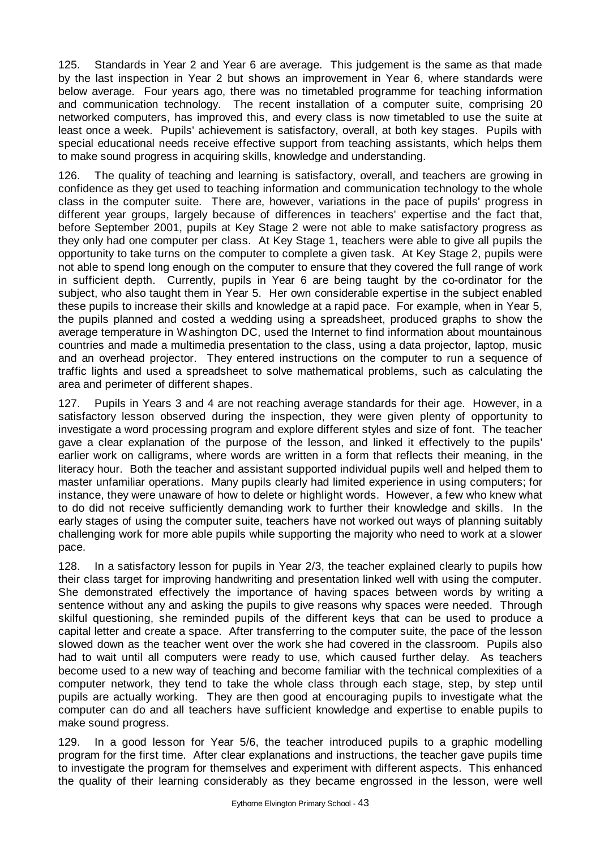125. Standards in Year 2 and Year 6 are average. This judgement is the same as that made by the last inspection in Year 2 but shows an improvement in Year 6, where standards were below average. Four years ago, there was no timetabled programme for teaching information and communication technology. The recent installation of a computer suite, comprising 20 networked computers, has improved this, and every class is now timetabled to use the suite at least once a week. Pupils' achievement is satisfactory, overall, at both key stages. Pupils with special educational needs receive effective support from teaching assistants, which helps them to make sound progress in acquiring skills, knowledge and understanding.

126. The quality of teaching and learning is satisfactory, overall, and teachers are growing in confidence as they get used to teaching information and communication technology to the whole class in the computer suite. There are, however, variations in the pace of pupils' progress in different year groups, largely because of differences in teachers' expertise and the fact that, before September 2001, pupils at Key Stage 2 were not able to make satisfactory progress as they only had one computer per class. At Key Stage 1, teachers were able to give all pupils the opportunity to take turns on the computer to complete a given task. At Key Stage 2, pupils were not able to spend long enough on the computer to ensure that they covered the full range of work in sufficient depth. Currently, pupils in Year 6 are being taught by the co-ordinator for the subject, who also taught them in Year 5. Her own considerable expertise in the subject enabled these pupils to increase their skills and knowledge at a rapid pace. For example, when in Year 5, the pupils planned and costed a wedding using a spreadsheet, produced graphs to show the average temperature in Washington DC, used the Internet to find information about mountainous countries and made a multimedia presentation to the class, using a data projector, laptop, music and an overhead projector. They entered instructions on the computer to run a sequence of traffic lights and used a spreadsheet to solve mathematical problems, such as calculating the area and perimeter of different shapes.

127. Pupils in Years 3 and 4 are not reaching average standards for their age. However, in a satisfactory lesson observed during the inspection, they were given plenty of opportunity to investigate a word processing program and explore different styles and size of font. The teacher gave a clear explanation of the purpose of the lesson, and linked it effectively to the pupils' earlier work on calligrams, where words are written in a form that reflects their meaning, in the literacy hour. Both the teacher and assistant supported individual pupils well and helped them to master unfamiliar operations. Many pupils clearly had limited experience in using computers; for instance, they were unaware of how to delete or highlight words. However, a few who knew what to do did not receive sufficiently demanding work to further their knowledge and skills. In the early stages of using the computer suite, teachers have not worked out ways of planning suitably challenging work for more able pupils while supporting the majority who need to work at a slower pace.

128. In a satisfactory lesson for pupils in Year 2/3, the teacher explained clearly to pupils how their class target for improving handwriting and presentation linked well with using the computer. She demonstrated effectively the importance of having spaces between words by writing a sentence without any and asking the pupils to give reasons why spaces were needed. Through skilful questioning, she reminded pupils of the different keys that can be used to produce a capital letter and create a space. After transferring to the computer suite, the pace of the lesson slowed down as the teacher went over the work she had covered in the classroom. Pupils also had to wait until all computers were ready to use, which caused further delay. As teachers become used to a new way of teaching and become familiar with the technical complexities of a computer network, they tend to take the whole class through each stage, step, by step until pupils are actually working. They are then good at encouraging pupils to investigate what the computer can do and all teachers have sufficient knowledge and expertise to enable pupils to make sound progress.

129. In a good lesson for Year 5/6, the teacher introduced pupils to a graphic modelling program for the first time. After clear explanations and instructions, the teacher gave pupils time to investigate the program for themselves and experiment with different aspects. This enhanced the quality of their learning considerably as they became engrossed in the lesson, were well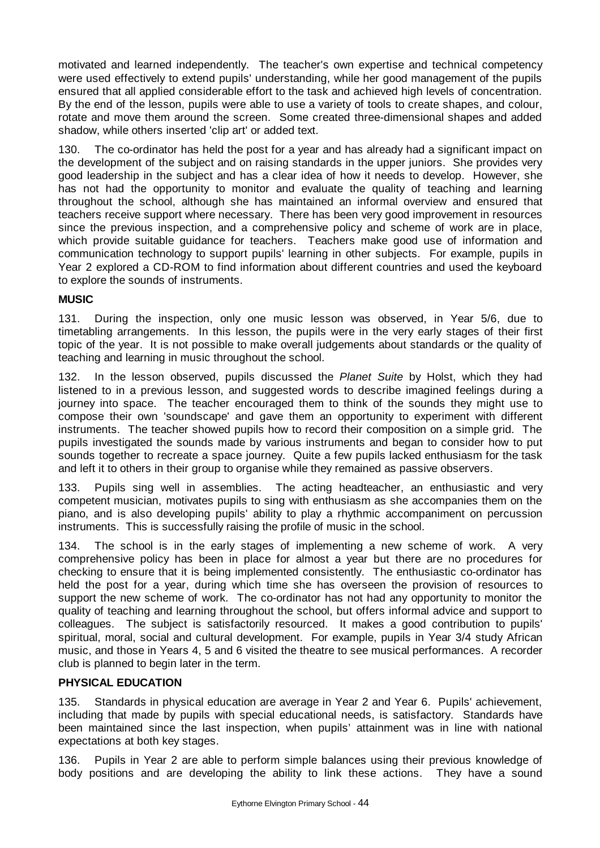motivated and learned independently. The teacher's own expertise and technical competency were used effectively to extend pupils' understanding, while her good management of the pupils ensured that all applied considerable effort to the task and achieved high levels of concentration. By the end of the lesson, pupils were able to use a variety of tools to create shapes, and colour, rotate and move them around the screen. Some created three-dimensional shapes and added shadow, while others inserted 'clip art' or added text.

130. The co-ordinator has held the post for a year and has already had a significant impact on the development of the subject and on raising standards in the upper juniors. She provides very good leadership in the subject and has a clear idea of how it needs to develop. However, she has not had the opportunity to monitor and evaluate the quality of teaching and learning throughout the school, although she has maintained an informal overview and ensured that teachers receive support where necessary. There has been very good improvement in resources since the previous inspection, and a comprehensive policy and scheme of work are in place, which provide suitable guidance for teachers. Teachers make good use of information and communication technology to support pupils' learning in other subjects. For example, pupils in Year 2 explored a CD-ROM to find information about different countries and used the keyboard to explore the sounds of instruments.

# **MUSIC**

131. During the inspection, only one music lesson was observed, in Year 5/6, due to timetabling arrangements. In this lesson, the pupils were in the very early stages of their first topic of the year. It is not possible to make overall judgements about standards or the quality of teaching and learning in music throughout the school.

132. In the lesson observed, pupils discussed the *Planet Suite* by Holst, which they had listened to in a previous lesson, and suggested words to describe imagined feelings during a journey into space. The teacher encouraged them to think of the sounds they might use to compose their own 'soundscape' and gave them an opportunity to experiment with different instruments. The teacher showed pupils how to record their composition on a simple grid. The pupils investigated the sounds made by various instruments and began to consider how to put sounds together to recreate a space journey. Quite a few pupils lacked enthusiasm for the task and left it to others in their group to organise while they remained as passive observers.

133. Pupils sing well in assemblies. The acting headteacher, an enthusiastic and very competent musician, motivates pupils to sing with enthusiasm as she accompanies them on the piano, and is also developing pupils' ability to play a rhythmic accompaniment on percussion instruments. This is successfully raising the profile of music in the school.

134. The school is in the early stages of implementing a new scheme of work. A very comprehensive policy has been in place for almost a year but there are no procedures for checking to ensure that it is being implemented consistently. The enthusiastic co-ordinator has held the post for a year, during which time she has overseen the provision of resources to support the new scheme of work. The co-ordinator has not had any opportunity to monitor the quality of teaching and learning throughout the school, but offers informal advice and support to colleagues. The subject is satisfactorily resourced. It makes a good contribution to pupils' spiritual, moral, social and cultural development. For example, pupils in Year 3/4 study African music, and those in Years 4, 5 and 6 visited the theatre to see musical performances. A recorder club is planned to begin later in the term.

# **PHYSICAL EDUCATION**

135. Standards in physical education are average in Year 2 and Year 6. Pupils' achievement, including that made by pupils with special educational needs, is satisfactory. Standards have been maintained since the last inspection, when pupils' attainment was in line with national expectations at both key stages.

136. Pupils in Year 2 are able to perform simple balances using their previous knowledge of body positions and are developing the ability to link these actions. They have a sound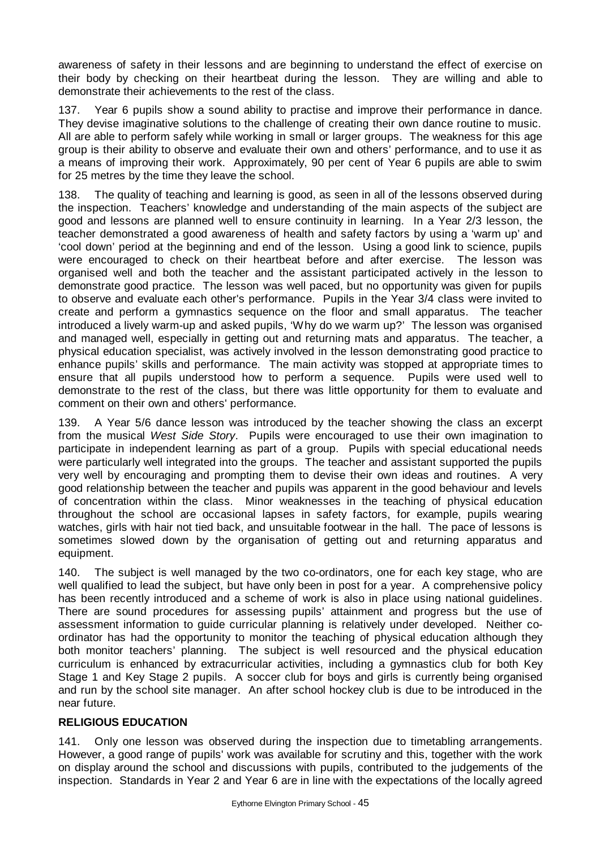awareness of safety in their lessons and are beginning to understand the effect of exercise on their body by checking on their heartbeat during the lesson. They are willing and able to demonstrate their achievements to the rest of the class.

Year 6 pupils show a sound ability to practise and improve their performance in dance. They devise imaginative solutions to the challenge of creating their own dance routine to music. All are able to perform safely while working in small or larger groups. The weakness for this age group is their ability to observe and evaluate their own and others' performance, and to use it as a means of improving their work. Approximately, 90 per cent of Year 6 pupils are able to swim for 25 metres by the time they leave the school.

138. The quality of teaching and learning is good, as seen in all of the lessons observed during the inspection. Teachers' knowledge and understanding of the main aspects of the subject are good and lessons are planned well to ensure continuity in learning. In a Year 2/3 lesson, the teacher demonstrated a good awareness of health and safety factors by using a 'warm up' and 'cool down' period at the beginning and end of the lesson. Using a good link to science, pupils were encouraged to check on their heartbeat before and after exercise. The lesson was organised well and both the teacher and the assistant participated actively in the lesson to demonstrate good practice. The lesson was well paced, but no opportunity was given for pupils to observe and evaluate each other's performance. Pupils in the Year 3/4 class were invited to create and perform a gymnastics sequence on the floor and small apparatus. The teacher introduced a lively warm-up and asked pupils, 'Why do we warm up?' The lesson was organised and managed well, especially in getting out and returning mats and apparatus. The teacher, a physical education specialist, was actively involved in the lesson demonstrating good practice to enhance pupils' skills and performance. The main activity was stopped at appropriate times to ensure that all pupils understood how to perform a sequence. Pupils were used well to demonstrate to the rest of the class, but there was little opportunity for them to evaluate and comment on their own and others' performance.

139. A Year 5/6 dance lesson was introduced by the teacher showing the class an excerpt from the musical *West Side Story*. Pupils were encouraged to use their own imagination to participate in independent learning as part of a group. Pupils with special educational needs were particularly well integrated into the groups. The teacher and assistant supported the pupils very well by encouraging and prompting them to devise their own ideas and routines. A very good relationship between the teacher and pupils was apparent in the good behaviour and levels of concentration within the class. Minor weaknesses in the teaching of physical education throughout the school are occasional lapses in safety factors, for example, pupils wearing watches, girls with hair not tied back, and unsuitable footwear in the hall. The pace of lessons is sometimes slowed down by the organisation of getting out and returning apparatus and equipment.

140. The subject is well managed by the two co-ordinators, one for each key stage, who are well qualified to lead the subject, but have only been in post for a year. A comprehensive policy has been recently introduced and a scheme of work is also in place using national guidelines. There are sound procedures for assessing pupils' attainment and progress but the use of assessment information to guide curricular planning is relatively under developed. Neither coordinator has had the opportunity to monitor the teaching of physical education although they both monitor teachers' planning. The subject is well resourced and the physical education curriculum is enhanced by extracurricular activities, including a gymnastics club for both Key Stage 1 and Key Stage 2 pupils. A soccer club for boys and girls is currently being organised and run by the school site manager. An after school hockey club is due to be introduced in the near future.

### **RELIGIOUS EDUCATION**

141. Only one lesson was observed during the inspection due to timetabling arrangements. However, a good range of pupils' work was available for scrutiny and this, together with the work on display around the school and discussions with pupils, contributed to the judgements of the inspection. Standards in Year 2 and Year 6 are in line with the expectations of the locally agreed